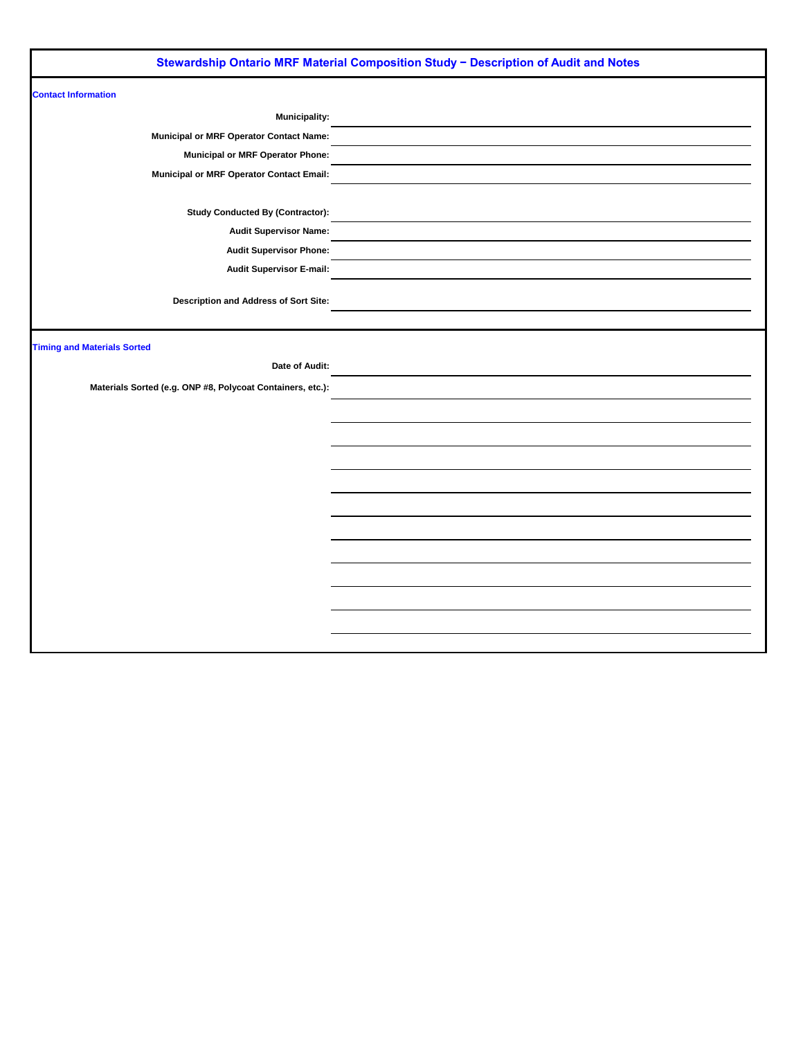|                                                            | Stewardship Ontario MRF Material Composition Study - Description of Audit and Notes |
|------------------------------------------------------------|-------------------------------------------------------------------------------------|
| <b>Contact Information</b>                                 |                                                                                     |
| <b>Municipality:</b>                                       |                                                                                     |
| <b>Municipal or MRF Operator Contact Name:</b>             |                                                                                     |
| <b>Municipal or MRF Operator Phone:</b>                    |                                                                                     |
| <b>Municipal or MRF Operator Contact Email:</b>            |                                                                                     |
| <b>Study Conducted By (Contractor):</b>                    |                                                                                     |
| <b>Audit Supervisor Name:</b>                              |                                                                                     |
| <b>Audit Supervisor Phone:</b>                             |                                                                                     |
| <b>Audit Supervisor E-mail:</b>                            |                                                                                     |
| <b>Description and Address of Sort Site:</b>               |                                                                                     |
| <b>Timing and Materials Sorted</b>                         |                                                                                     |
| Date of Audit:                                             |                                                                                     |
| Materials Sorted (e.g. ONP #8, Polycoat Containers, etc.): |                                                                                     |
|                                                            |                                                                                     |
|                                                            |                                                                                     |
|                                                            |                                                                                     |
|                                                            |                                                                                     |
|                                                            |                                                                                     |
|                                                            |                                                                                     |
|                                                            |                                                                                     |
|                                                            |                                                                                     |
|                                                            |                                                                                     |
|                                                            |                                                                                     |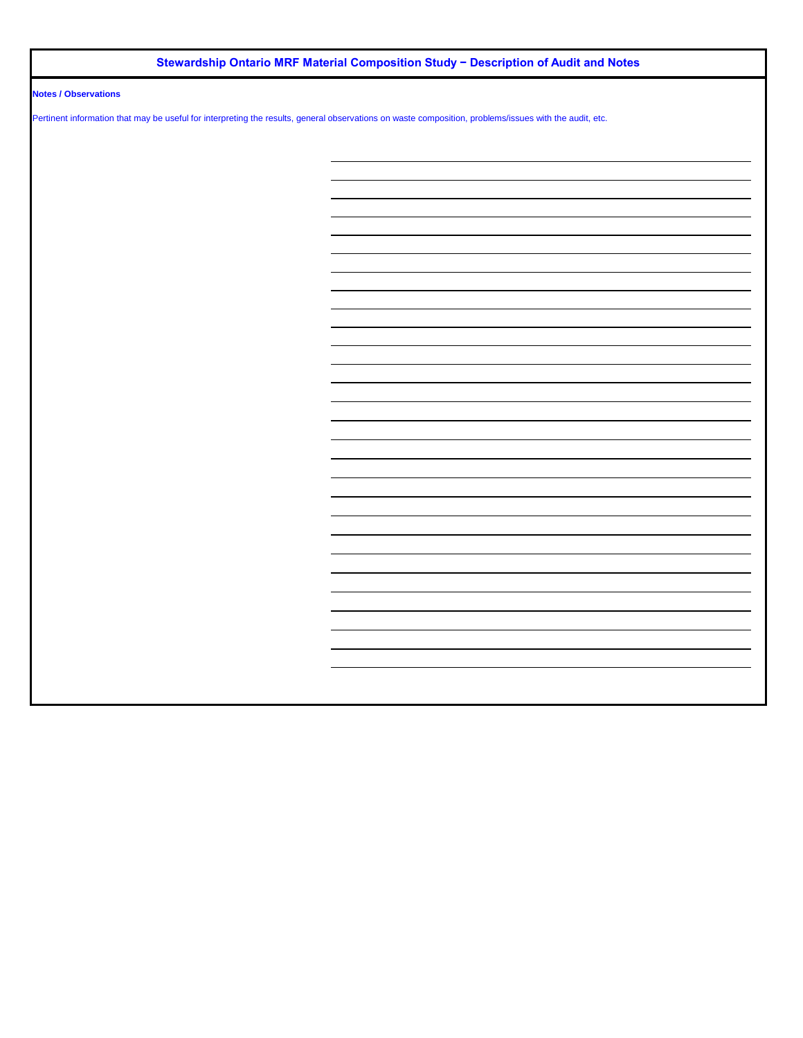## **Stewardship Ontario MRF Material Composition Study − Description of Audit and Notes**

## **Notes / Observations**

Pertinent information that may be useful for interpreting the results, general observations on waste composition, problems/issues with the audit, etc.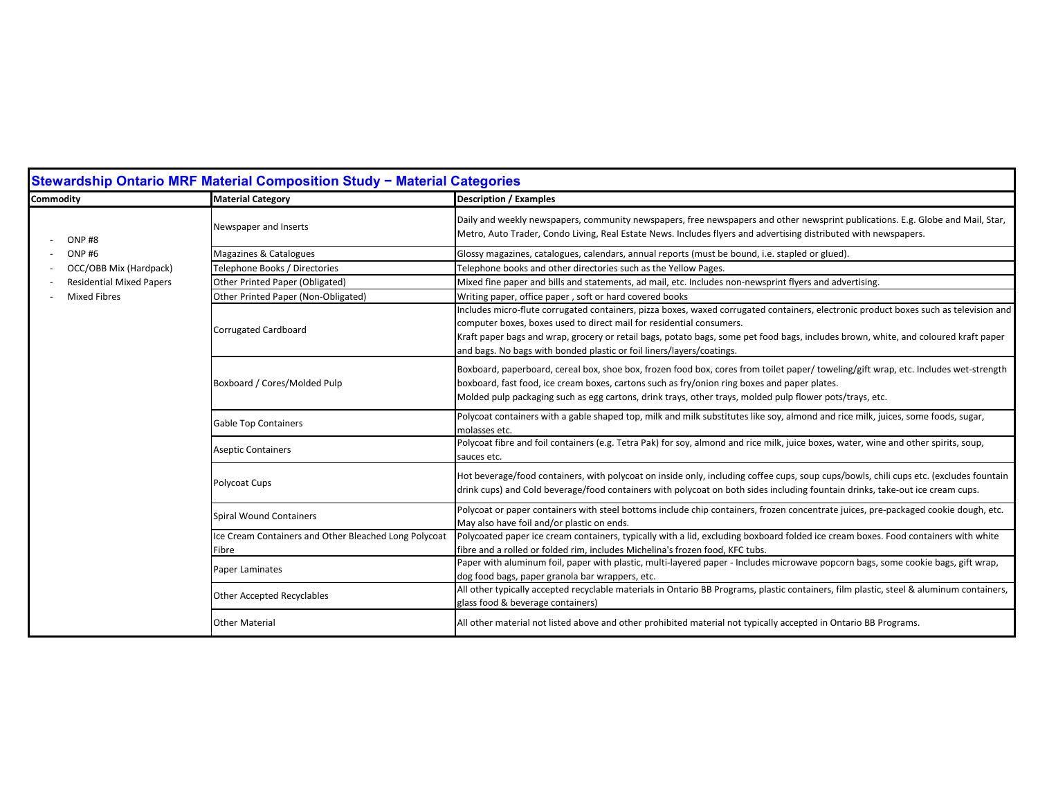|                                 | Stewardship Ontario MRF Material Composition Study - Material Categories |                                                                                                                                                                                                                                                                                                                                                                                                                               |
|---------------------------------|--------------------------------------------------------------------------|-------------------------------------------------------------------------------------------------------------------------------------------------------------------------------------------------------------------------------------------------------------------------------------------------------------------------------------------------------------------------------------------------------------------------------|
| Commodity                       | <b>Material Category</b>                                                 | <b>Description / Examples</b>                                                                                                                                                                                                                                                                                                                                                                                                 |
| ONP#8                           | Newspaper and Inserts                                                    | Daily and weekly newspapers, community newspapers, free newspapers and other newsprint publications. E.g. Globe and Mail, Star,<br>Metro, Auto Trader, Condo Living, Real Estate News. Includes flyers and advertising distributed with newspapers.                                                                                                                                                                           |
| ONP <sub>#6</sub>               | Magazines & Catalogues                                                   | Glossy magazines, catalogues, calendars, annual reports (must be bound, i.e. stapled or glued).                                                                                                                                                                                                                                                                                                                               |
| OCC/OBB Mix (Hardpack)          | Telephone Books / Directories                                            | Telephone books and other directories such as the Yellow Pages.                                                                                                                                                                                                                                                                                                                                                               |
| <b>Residential Mixed Papers</b> | Other Printed Paper (Obligated)                                          | Mixed fine paper and bills and statements, ad mail, etc. Includes non-newsprint flyers and advertising.                                                                                                                                                                                                                                                                                                                       |
| <b>Mixed Fibres</b>             | Other Printed Paper (Non-Obligated)                                      | Writing paper, office paper, soft or hard covered books                                                                                                                                                                                                                                                                                                                                                                       |
|                                 | Corrugated Cardboard                                                     | Includes micro-flute corrugated containers, pizza boxes, waxed corrugated containers, electronic product boxes such as television and<br>computer boxes, boxes used to direct mail for residential consumers.<br>Kraft paper bags and wrap, grocery or retail bags, potato bags, some pet food bags, includes brown, white, and coloured kraft paper<br>and bags. No bags with bonded plastic or foil liners/layers/coatings. |
|                                 | Boxboard / Cores/Molded Pulp                                             | Boxboard, paperboard, cereal box, shoe box, frozen food box, cores from toilet paper/toweling/gift wrap, etc. Includes wet-strength<br>boxboard, fast food, ice cream boxes, cartons such as fry/onion ring boxes and paper plates.<br>Molded pulp packaging such as egg cartons, drink trays, other trays, molded pulp flower pots/trays, etc.                                                                               |
|                                 | <b>Gable Top Containers</b>                                              | Polycoat containers with a gable shaped top, milk and milk substitutes like soy, almond and rice milk, juices, some foods, sugar,<br>molasses etc.                                                                                                                                                                                                                                                                            |
|                                 | <b>Aseptic Containers</b>                                                | Polycoat fibre and foil containers (e.g. Tetra Pak) for soy, almond and rice milk, juice boxes, water, wine and other spirits, soup,<br>sauces etc.                                                                                                                                                                                                                                                                           |
|                                 | Polycoat Cups                                                            | Hot beverage/food containers, with polycoat on inside only, including coffee cups, soup cups/bowls, chili cups etc. (excludes fountain<br>drink cups) and Cold beverage/food containers with polycoat on both sides including fountain drinks, take-out ice cream cups.                                                                                                                                                       |
|                                 | <b>Spiral Wound Containers</b>                                           | Polycoat or paper containers with steel bottoms include chip containers, frozen concentrate juices, pre-packaged cookie dough, etc.<br>May also have foil and/or plastic on ends.                                                                                                                                                                                                                                             |
|                                 | Ice Cream Containers and Other Bleached Long Polycoat                    | Polycoated paper ice cream containers, typically with a lid, excluding boxboard folded ice cream boxes. Food containers with white                                                                                                                                                                                                                                                                                            |
|                                 | Fibre                                                                    | fibre and a rolled or folded rim, includes Michelina's frozen food, KFC tubs.                                                                                                                                                                                                                                                                                                                                                 |
|                                 | Paper Laminates                                                          | Paper with aluminum foil, paper with plastic, multi-layered paper - Includes microwave popcorn bags, some cookie bags, gift wrap,<br>dog food bags, paper granola bar wrappers, etc.                                                                                                                                                                                                                                          |
|                                 | Other Accepted Recyclables                                               | All other typically accepted recyclable materials in Ontario BB Programs, plastic containers, film plastic, steel & aluminum containers,<br>glass food & beverage containers)                                                                                                                                                                                                                                                 |
|                                 | <b>Other Material</b>                                                    | All other material not listed above and other prohibited material not typically accepted in Ontario BB Programs.                                                                                                                                                                                                                                                                                                              |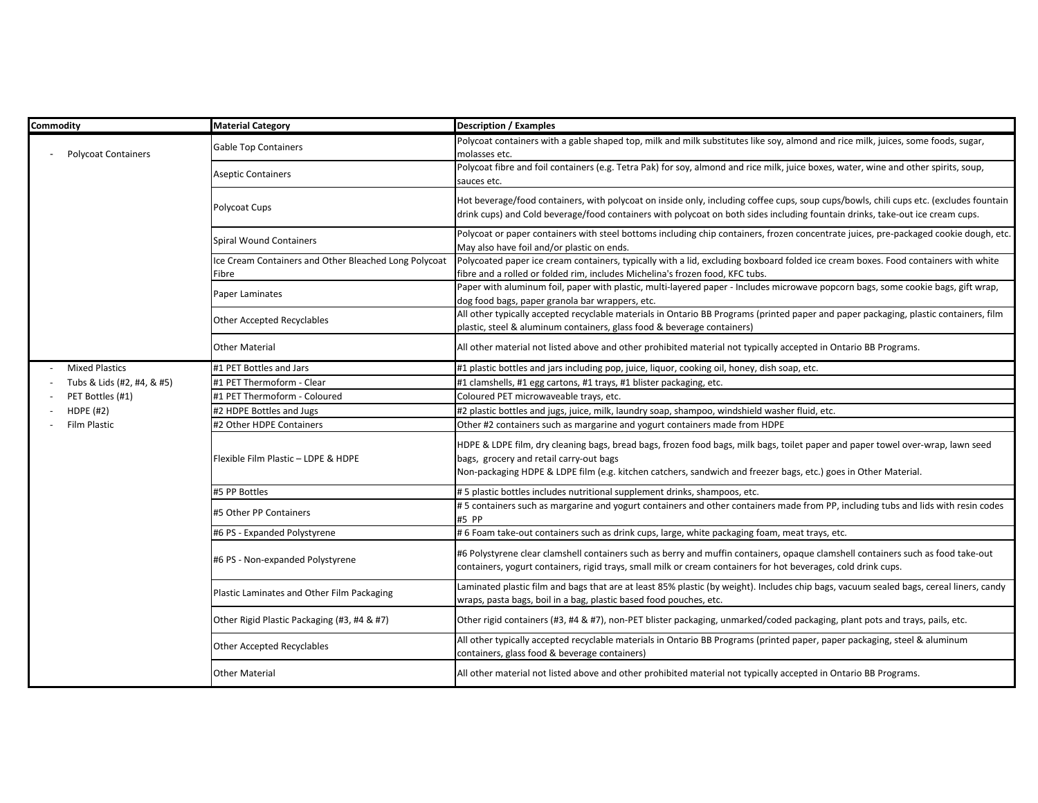| Commodity                  | <b>Material Category</b>                                       | <b>Description / Examples</b>                                                                                                                                                                                                                                                                 |
|----------------------------|----------------------------------------------------------------|-----------------------------------------------------------------------------------------------------------------------------------------------------------------------------------------------------------------------------------------------------------------------------------------------|
| <b>Polycoat Containers</b> | <b>Gable Top Containers</b>                                    | Polycoat containers with a gable shaped top, milk and milk substitutes like soy, almond and rice milk, juices, some foods, sugar,<br>molasses etc.                                                                                                                                            |
|                            | <b>Aseptic Containers</b>                                      | Polycoat fibre and foil containers (e.g. Tetra Pak) for soy, almond and rice milk, juice boxes, water, wine and other spirits, soup,<br>sauces etc.                                                                                                                                           |
|                            | Polycoat Cups                                                  | Hot beverage/food containers, with polycoat on inside only, including coffee cups, soup cups/bowls, chili cups etc. (excludes fountain<br>drink cups) and Cold beverage/food containers with polycoat on both sides including fountain drinks, take-out ice cream cups.                       |
|                            | <b>Spiral Wound Containers</b>                                 | Polycoat or paper containers with steel bottoms including chip containers, frozen concentrate juices, pre-packaged cookie dough, etc.<br>May also have foil and/or plastic on ends.                                                                                                           |
|                            | Ice Cream Containers and Other Bleached Long Polycoat<br>Fibre | Polycoated paper ice cream containers, typically with a lid, excluding boxboard folded ice cream boxes. Food containers with white<br>fibre and a rolled or folded rim, includes Michelina's frozen food, KFC tubs.                                                                           |
|                            | Paper Laminates                                                | Paper with aluminum foil, paper with plastic, multi-layered paper - Includes microwave popcorn bags, some cookie bags, gift wrap,<br>dog food bags, paper granola bar wrappers, etc.                                                                                                          |
|                            | Other Accepted Recyclables                                     | All other typically accepted recyclable materials in Ontario BB Programs (printed paper and paper packaging, plastic containers, film<br>plastic, steel & aluminum containers, glass food & beverage containers)                                                                              |
|                            | <b>Other Material</b>                                          | All other material not listed above and other prohibited material not typically accepted in Ontario BB Programs.                                                                                                                                                                              |
| <b>Mixed Plastics</b>      | #1 PET Bottles and Jars                                        | #1 plastic bottles and jars including pop, juice, liquor, cooking oil, honey, dish soap, etc.                                                                                                                                                                                                 |
| Tubs & Lids (#2, #4, & #5) | #1 PET Thermoform - Clear                                      | #1 clamshells, #1 egg cartons, #1 trays, #1 blister packaging, etc.                                                                                                                                                                                                                           |
| PET Bottles (#1)           | #1 PET Thermoform - Coloured                                   | Coloured PET microwaveable trays, etc.                                                                                                                                                                                                                                                        |
| <b>HDPE (#2)</b>           | #2 HDPE Bottles and Jugs                                       | #2 plastic bottles and jugs, juice, milk, laundry soap, shampoo, windshield washer fluid, etc.                                                                                                                                                                                                |
| <b>Film Plastic</b>        | #2 Other HDPE Containers                                       | Other #2 containers such as margarine and yogurt containers made from HDPE                                                                                                                                                                                                                    |
|                            | Flexible Film Plastic - LDPE & HDPE                            | HDPE & LDPE film, dry cleaning bags, bread bags, frozen food bags, milk bags, toilet paper and paper towel over-wrap, lawn seed<br>bags, grocery and retail carry-out bags<br>Non-packaging HDPE & LDPE film (e.g. kitchen catchers, sandwich and freezer bags, etc.) goes in Other Material. |
|                            | #5 PP Bottles                                                  | #5 plastic bottles includes nutritional supplement drinks, shampoos, etc.                                                                                                                                                                                                                     |
|                            | #5 Other PP Containers                                         | #5 containers such as margarine and yogurt containers and other containers made from PP, including tubs and lids with resin codes<br>#5 PP                                                                                                                                                    |
|                            | #6 PS - Expanded Polystyrene                                   | # 6 Foam take-out containers such as drink cups, large, white packaging foam, meat trays, etc.                                                                                                                                                                                                |
|                            | #6 PS - Non-expanded Polystyrene                               | #6 Polystyrene clear clamshell containers such as berry and muffin containers, opaque clamshell containers such as food take-out<br>containers, yogurt containers, rigid trays, small milk or cream containers for hot beverages, cold drink cups.                                            |
|                            | Plastic Laminates and Other Film Packaging                     | Laminated plastic film and bags that are at least 85% plastic (by weight). Includes chip bags, vacuum sealed bags, cereal liners, candy<br>wraps, pasta bags, boil in a bag, plastic based food pouches, etc.                                                                                 |
|                            | Other Rigid Plastic Packaging (#3, #4 & #7)                    | Other rigid containers (#3, #4 & #7), non-PET blister packaging, unmarked/coded packaging, plant pots and trays, pails, etc.                                                                                                                                                                  |
|                            | <b>Other Accepted Recyclables</b>                              | All other typically accepted recyclable materials in Ontario BB Programs (printed paper, paper packaging, steel & aluminum<br>containers, glass food & beverage containers)                                                                                                                   |
|                            | <b>Other Material</b>                                          | All other material not listed above and other prohibited material not typically accepted in Ontario BB Programs.                                                                                                                                                                              |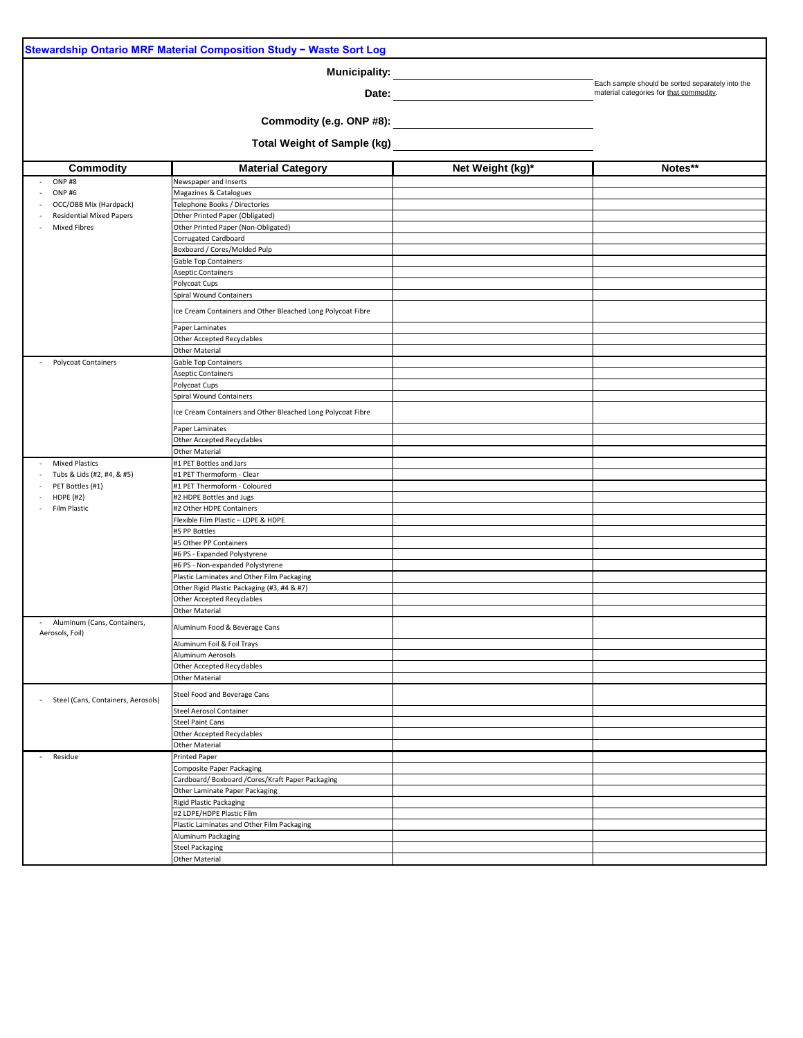| Stewardship Ontario MRF Material Composition Study - Waste Sort Log |                                                             |                  |                                                  |  |  |  |  |  |
|---------------------------------------------------------------------|-------------------------------------------------------------|------------------|--------------------------------------------------|--|--|--|--|--|
|                                                                     | <b>Municipality:</b>                                        |                  |                                                  |  |  |  |  |  |
|                                                                     |                                                             |                  | Each sample should be sorted separately into the |  |  |  |  |  |
|                                                                     | Date:                                                       |                  | material categories for that commodity.          |  |  |  |  |  |
|                                                                     | Commodity (e.g. ONP #8):                                    |                  |                                                  |  |  |  |  |  |
|                                                                     |                                                             |                  |                                                  |  |  |  |  |  |
|                                                                     | <b>Total Weight of Sample (kg)</b>                          |                  |                                                  |  |  |  |  |  |
| <b>Commodity</b>                                                    | <b>Material Category</b>                                    | Net Weight (kg)* | Notes**                                          |  |  |  |  |  |
| ONP#8                                                               | Newspaper and Inserts                                       |                  |                                                  |  |  |  |  |  |
| <b>ONP#6</b>                                                        | Magazines & Catalogues                                      |                  |                                                  |  |  |  |  |  |
| OCC/OBB Mix (Hardpack)                                              | Telephone Books / Directories                               |                  |                                                  |  |  |  |  |  |
| <b>Residential Mixed Papers</b>                                     | Other Printed Paper (Obligated)                             |                  |                                                  |  |  |  |  |  |
| <b>Mixed Fibres</b>                                                 | Other Printed Paper (Non-Obligated)<br>Corrugated Cardboard |                  |                                                  |  |  |  |  |  |
|                                                                     | Boxboard / Cores/Molded Pulp                                |                  |                                                  |  |  |  |  |  |
|                                                                     | <b>Gable Top Containers</b>                                 |                  |                                                  |  |  |  |  |  |
|                                                                     | <b>Aseptic Containers</b>                                   |                  |                                                  |  |  |  |  |  |
|                                                                     | Polycoat Cups                                               |                  |                                                  |  |  |  |  |  |
|                                                                     | <b>Spiral Wound Containers</b>                              |                  |                                                  |  |  |  |  |  |
|                                                                     | Ice Cream Containers and Other Bleached Long Polycoat Fibre |                  |                                                  |  |  |  |  |  |
|                                                                     | Paper Laminates                                             |                  |                                                  |  |  |  |  |  |
|                                                                     | <b>Other Accepted Recyclables</b>                           |                  |                                                  |  |  |  |  |  |
|                                                                     | <b>Other Material</b>                                       |                  |                                                  |  |  |  |  |  |
| <b>Polycoat Containers</b>                                          | <b>Gable Top Containers</b>                                 |                  |                                                  |  |  |  |  |  |
|                                                                     | <b>Aseptic Containers</b>                                   |                  |                                                  |  |  |  |  |  |
|                                                                     | Polycoat Cups<br><b>Spiral Wound Containers</b>             |                  |                                                  |  |  |  |  |  |
|                                                                     |                                                             |                  |                                                  |  |  |  |  |  |
|                                                                     | Ice Cream Containers and Other Bleached Long Polycoat Fibre |                  |                                                  |  |  |  |  |  |
|                                                                     | Paper Laminates                                             |                  |                                                  |  |  |  |  |  |
|                                                                     | <b>Other Accepted Recyclables</b>                           |                  |                                                  |  |  |  |  |  |
|                                                                     | <b>Other Material</b>                                       |                  |                                                  |  |  |  |  |  |
| <b>Mixed Plastics</b>                                               | #1 PET Bottles and Jars                                     |                  |                                                  |  |  |  |  |  |
| Tubs & Lids (#2, #4, & #5)                                          | #1 PET Thermoform - Clear                                   |                  |                                                  |  |  |  |  |  |
| PET Bottles (#1)<br><b>HDPE (#2)</b>                                | #1 PET Thermoform - Coloured<br>#2 HDPE Bottles and Jugs    |                  |                                                  |  |  |  |  |  |
| Film Plastic                                                        | #2 Other HDPE Containers                                    |                  |                                                  |  |  |  |  |  |
|                                                                     | Flexible Film Plastic - LDPE & HDPE                         |                  |                                                  |  |  |  |  |  |
|                                                                     | #5 PP Bottles                                               |                  |                                                  |  |  |  |  |  |
|                                                                     | #5 Other PP Containers                                      |                  |                                                  |  |  |  |  |  |
|                                                                     | #6 PS - Expanded Polystyrene                                |                  |                                                  |  |  |  |  |  |
|                                                                     | #6 PS - Non-expanded Polystyrene                            |                  |                                                  |  |  |  |  |  |
|                                                                     | Plastic Laminates and Other Film Packaging                  |                  |                                                  |  |  |  |  |  |
|                                                                     | Other Rigid Plastic Packaging (#3, #4 & #7)                 |                  |                                                  |  |  |  |  |  |
|                                                                     | Other Accepted Recyclables<br><b>Other Material</b>         |                  |                                                  |  |  |  |  |  |
| Aluminum (Cans, Containers,                                         |                                                             |                  |                                                  |  |  |  |  |  |
| Aerosols, Foil)                                                     | Aluminum Food & Beverage Cans                               |                  |                                                  |  |  |  |  |  |
|                                                                     | Aluminum Foil & Foil Trays                                  |                  |                                                  |  |  |  |  |  |
|                                                                     | Aluminum Aerosols                                           |                  |                                                  |  |  |  |  |  |
|                                                                     | Other Accepted Recyclables                                  |                  |                                                  |  |  |  |  |  |
|                                                                     | <b>Other Material</b>                                       |                  |                                                  |  |  |  |  |  |
| Steel (Cans, Containers, Aerosols)                                  | Steel Food and Beverage Cans                                |                  |                                                  |  |  |  |  |  |
|                                                                     | <b>Steel Aerosol Container</b><br><b>Steel Paint Cans</b>   |                  |                                                  |  |  |  |  |  |
|                                                                     | <b>Other Accepted Recyclables</b>                           |                  |                                                  |  |  |  |  |  |
|                                                                     | <b>Other Material</b>                                       |                  |                                                  |  |  |  |  |  |
| Residue                                                             | Printed Paper                                               |                  |                                                  |  |  |  |  |  |
|                                                                     | <b>Composite Paper Packaging</b>                            |                  |                                                  |  |  |  |  |  |
|                                                                     | Cardboard/Boxboard/Cores/Kraft Paper Packaging              |                  |                                                  |  |  |  |  |  |
|                                                                     | Other Laminate Paper Packaging                              |                  |                                                  |  |  |  |  |  |
|                                                                     | Rigid Plastic Packaging                                     |                  |                                                  |  |  |  |  |  |
|                                                                     | #2 LDPE/HDPE Plastic Film                                   |                  |                                                  |  |  |  |  |  |
|                                                                     | Plastic Laminates and Other Film Packaging                  |                  |                                                  |  |  |  |  |  |
|                                                                     | Aluminum Packaging<br><b>Steel Packaging</b>                |                  |                                                  |  |  |  |  |  |
|                                                                     | <b>Other Material</b>                                       |                  |                                                  |  |  |  |  |  |
|                                                                     |                                                             |                  |                                                  |  |  |  |  |  |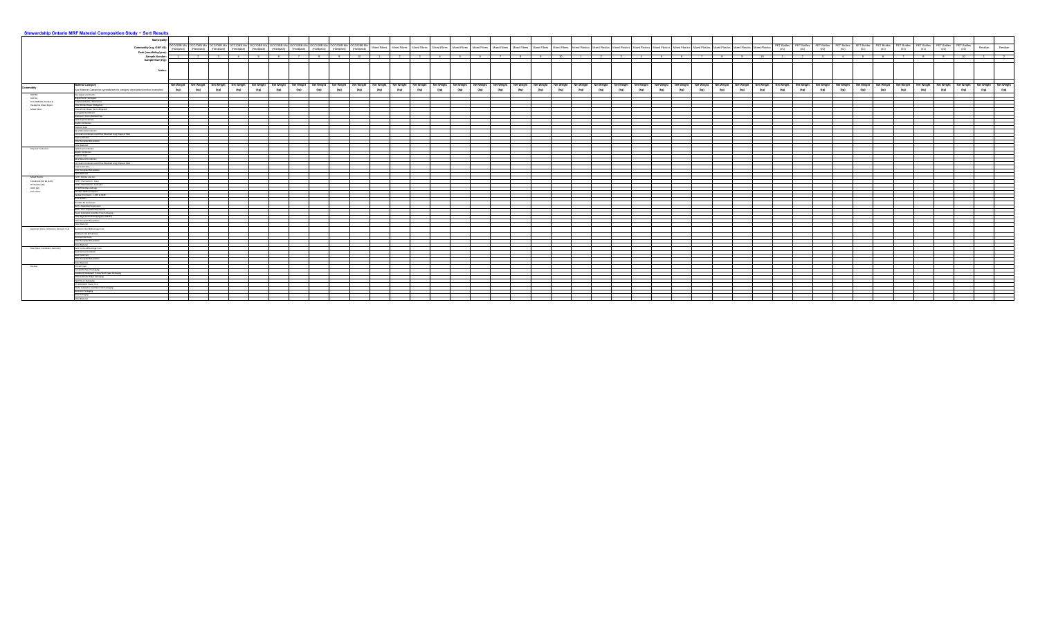| <b>Municipality:</b><br>PET Bottles PET Bottles PET Bottles PET Bottles PET Bottles PET Bottles PET Bottles PET Bottles PET Bottles<br>PET Bottles<br>«CC/OBB Mix OCC/OBB Mix OCC/OBB Mix OCC/OBB Mix OCC/OBB Mix OCC/OBB Mix OCC/OBB Mix OCC/OBB Mix OCC/OBB Mix OCC/OBB Mix (Hardpack) (Hardpack) (Hardpack) (Hardpack) (Hardpack) (Hardpack) (Hardpack) (Hardpack) (Hardpack) (Ha<br>Mixed Fibres Mixed Fibres Mixed Fibres Mixed Fibres Mixed Fibres Mixed Fibres Mixed Fibres Mixed Fibres Mixed Fibres Mixed Fibres Mixed Fibres Mixed Plastics Mixed Plastics Mixed Plastics Mixed Plastics Mixed Plastics Mixe<br>Residue<br>Residue<br>Commodity (e.g. ONP #8):<br>(#1)<br>(#1)<br>(#1)<br>(#1)<br>(#1)<br>(#1)<br>(#1)<br>(#1)<br>(#1)<br>(#1)<br>(Hardpack)<br>Date (month/day/year)<br><b>Sample Number:</b><br>Sample Size (Kg):<br><b>Notes:</b><br>Net Weight   Net Weight   Net Weight   Net Weight   Net Weight   Net Weight   Net Weight   Net Weight   Net Weight   Net Weight   Net Weight   Net Weight   Net Weight   Net Weight   Net Weight   Net Weight   Net Weight   N<br>(kg)<br>(kg)<br>(kg)<br>(kg)<br>(kg)<br>(kg)<br>(kg)<br>(kg)<br>(kg)<br>(kg)<br>(kg)<br>(kg)<br>(kg)<br>(kg)<br>(kg)<br>(kg)<br>(kg)<br>(kg)<br>(kg)<br>(kg)<br>(kg)<br>(kg)<br>(kg)<br>(kg)<br>(kg)<br>(kg)<br>(kg)<br>(kg)<br>(kg)<br>(kg)<br>(kg)<br>(kg)<br>(kg)<br>(kg)<br>(kg)<br>(kg)<br>(ka)<br>Telephone Books / Directories<br>Other Printed Paper (Obligated)<br>Corrugated Cardboard<br>Boxboard / Cores/Molded Pulp<br>Polycoat Cups<br>Spiral Wound Containers<br>Ice Cream Containers and Other Bleached Long Polycoat Fibre<br>Other Accepted Recyclables<br>Polycoat Cups<br>Other Accepted Recyclables<br>#1 PET Thermoform - Clear<br>#1 PET Thermoform - Coloured<br>Flexible Film Plastic - LDPE & HDPE<br>#6 PS - Non-expanded Polystyrene<br>Other Accepted Recyclables<br>Other Material<br>Aluminum Food & Beverage Cans<br>Aluminum Foil & Foil Trays<br>Other Material<br>Steel Food and Beverage Cans<br>Steel Paint Cans<br>Other Accepted Recyclables<br>Other Material<br>Printed Paper<br>Composite Paper Packaging<br>Cardboard/ Boxboard /Cores/Kraft Paper Packaging<br>#2 LDPE/HDPE Plastic Film<br>Plastic Laminates and Other Film Packaging<br>Other Material | <u>s material composition otaly sont results</u>                                |  |  |  |  |  |  |  |  |  |  |  |  |  |  |  |  |  |  |
|----------------------------------------------------------------------------------------------------------------------------------------------------------------------------------------------------------------------------------------------------------------------------------------------------------------------------------------------------------------------------------------------------------------------------------------------------------------------------------------------------------------------------------------------------------------------------------------------------------------------------------------------------------------------------------------------------------------------------------------------------------------------------------------------------------------------------------------------------------------------------------------------------------------------------------------------------------------------------------------------------------------------------------------------------------------------------------------------------------------------------------------------------------------------------------------------------------------------------------------------------------------------------------------------------------------------------------------------------------------------------------------------------------------------------------------------------------------------------------------------------------------------------------------------------------------------------------------------------------------------------------------------------------------------------------------------------------------------------------------------------------------------------------------------------------------------------------------------------------------------------------------------------------------------------------------------------------------------------------------------------------------------------------------------------------------------------------------------------------------------------------------------------------------------------------------------------------------------------------------------------------------------------------------------------------|---------------------------------------------------------------------------------|--|--|--|--|--|--|--|--|--|--|--|--|--|--|--|--|--|--|
|                                                                                                                                                                                                                                                                                                                                                                                                                                                                                                                                                                                                                                                                                                                                                                                                                                                                                                                                                                                                                                                                                                                                                                                                                                                                                                                                                                                                                                                                                                                                                                                                                                                                                                                                                                                                                                                                                                                                                                                                                                                                                                                                                                                                                                                                                                          |                                                                                 |  |  |  |  |  |  |  |  |  |  |  |  |  |  |  |  |  |  |
|                                                                                                                                                                                                                                                                                                                                                                                                                                                                                                                                                                                                                                                                                                                                                                                                                                                                                                                                                                                                                                                                                                                                                                                                                                                                                                                                                                                                                                                                                                                                                                                                                                                                                                                                                                                                                                                                                                                                                                                                                                                                                                                                                                                                                                                                                                          |                                                                                 |  |  |  |  |  |  |  |  |  |  |  |  |  |  |  |  |  |  |
|                                                                                                                                                                                                                                                                                                                                                                                                                                                                                                                                                                                                                                                                                                                                                                                                                                                                                                                                                                                                                                                                                                                                                                                                                                                                                                                                                                                                                                                                                                                                                                                                                                                                                                                                                                                                                                                                                                                                                                                                                                                                                                                                                                                                                                                                                                          |                                                                                 |  |  |  |  |  |  |  |  |  |  |  |  |  |  |  |  |  |  |
|                                                                                                                                                                                                                                                                                                                                                                                                                                                                                                                                                                                                                                                                                                                                                                                                                                                                                                                                                                                                                                                                                                                                                                                                                                                                                                                                                                                                                                                                                                                                                                                                                                                                                                                                                                                                                                                                                                                                                                                                                                                                                                                                                                                                                                                                                                          |                                                                                 |  |  |  |  |  |  |  |  |  |  |  |  |  |  |  |  |  |  |
|                                                                                                                                                                                                                                                                                                                                                                                                                                                                                                                                                                                                                                                                                                                                                                                                                                                                                                                                                                                                                                                                                                                                                                                                                                                                                                                                                                                                                                                                                                                                                                                                                                                                                                                                                                                                                                                                                                                                                                                                                                                                                                                                                                                                                                                                                                          |                                                                                 |  |  |  |  |  |  |  |  |  |  |  |  |  |  |  |  |  |  |
|                                                                                                                                                                                                                                                                                                                                                                                                                                                                                                                                                                                                                                                                                                                                                                                                                                                                                                                                                                                                                                                                                                                                                                                                                                                                                                                                                                                                                                                                                                                                                                                                                                                                                                                                                                                                                                                                                                                                                                                                                                                                                                                                                                                                                                                                                                          |                                                                                 |  |  |  |  |  |  |  |  |  |  |  |  |  |  |  |  |  |  |
|                                                                                                                                                                                                                                                                                                                                                                                                                                                                                                                                                                                                                                                                                                                                                                                                                                                                                                                                                                                                                                                                                                                                                                                                                                                                                                                                                                                                                                                                                                                                                                                                                                                                                                                                                                                                                                                                                                                                                                                                                                                                                                                                                                                                                                                                                                          |                                                                                 |  |  |  |  |  |  |  |  |  |  |  |  |  |  |  |  |  |  |
|                                                                                                                                                                                                                                                                                                                                                                                                                                                                                                                                                                                                                                                                                                                                                                                                                                                                                                                                                                                                                                                                                                                                                                                                                                                                                                                                                                                                                                                                                                                                                                                                                                                                                                                                                                                                                                                                                                                                                                                                                                                                                                                                                                                                                                                                                                          |                                                                                 |  |  |  |  |  |  |  |  |  |  |  |  |  |  |  |  |  |  |
|                                                                                                                                                                                                                                                                                                                                                                                                                                                                                                                                                                                                                                                                                                                                                                                                                                                                                                                                                                                                                                                                                                                                                                                                                                                                                                                                                                                                                                                                                                                                                                                                                                                                                                                                                                                                                                                                                                                                                                                                                                                                                                                                                                                                                                                                                                          | <b>Material Category</b>                                                        |  |  |  |  |  |  |  |  |  |  |  |  |  |  |  |  |  |  |
|                                                                                                                                                                                                                                                                                                                                                                                                                                                                                                                                                                                                                                                                                                                                                                                                                                                                                                                                                                                                                                                                                                                                                                                                                                                                                                                                                                                                                                                                                                                                                                                                                                                                                                                                                                                                                                                                                                                                                                                                                                                                                                                                                                                                                                                                                                          | (see Material Categories spreadsheet for category description/product examples) |  |  |  |  |  |  |  |  |  |  |  |  |  |  |  |  |  |  |
|                                                                                                                                                                                                                                                                                                                                                                                                                                                                                                                                                                                                                                                                                                                                                                                                                                                                                                                                                                                                                                                                                                                                                                                                                                                                                                                                                                                                                                                                                                                                                                                                                                                                                                                                                                                                                                                                                                                                                                                                                                                                                                                                                                                                                                                                                                          | Newspaper and Inserts                                                           |  |  |  |  |  |  |  |  |  |  |  |  |  |  |  |  |  |  |
|                                                                                                                                                                                                                                                                                                                                                                                                                                                                                                                                                                                                                                                                                                                                                                                                                                                                                                                                                                                                                                                                                                                                                                                                                                                                                                                                                                                                                                                                                                                                                                                                                                                                                                                                                                                                                                                                                                                                                                                                                                                                                                                                                                                                                                                                                                          | Magazines & Catalogues                                                          |  |  |  |  |  |  |  |  |  |  |  |  |  |  |  |  |  |  |
|                                                                                                                                                                                                                                                                                                                                                                                                                                                                                                                                                                                                                                                                                                                                                                                                                                                                                                                                                                                                                                                                                                                                                                                                                                                                                                                                                                                                                                                                                                                                                                                                                                                                                                                                                                                                                                                                                                                                                                                                                                                                                                                                                                                                                                                                                                          |                                                                                 |  |  |  |  |  |  |  |  |  |  |  |  |  |  |  |  |  |  |
|                                                                                                                                                                                                                                                                                                                                                                                                                                                                                                                                                                                                                                                                                                                                                                                                                                                                                                                                                                                                                                                                                                                                                                                                                                                                                                                                                                                                                                                                                                                                                                                                                                                                                                                                                                                                                                                                                                                                                                                                                                                                                                                                                                                                                                                                                                          | Other Printed Paper (Non-Obligated)                                             |  |  |  |  |  |  |  |  |  |  |  |  |  |  |  |  |  |  |
|                                                                                                                                                                                                                                                                                                                                                                                                                                                                                                                                                                                                                                                                                                                                                                                                                                                                                                                                                                                                                                                                                                                                                                                                                                                                                                                                                                                                                                                                                                                                                                                                                                                                                                                                                                                                                                                                                                                                                                                                                                                                                                                                                                                                                                                                                                          |                                                                                 |  |  |  |  |  |  |  |  |  |  |  |  |  |  |  |  |  |  |
|                                                                                                                                                                                                                                                                                                                                                                                                                                                                                                                                                                                                                                                                                                                                                                                                                                                                                                                                                                                                                                                                                                                                                                                                                                                                                                                                                                                                                                                                                                                                                                                                                                                                                                                                                                                                                                                                                                                                                                                                                                                                                                                                                                                                                                                                                                          | Gable Top Containers                                                            |  |  |  |  |  |  |  |  |  |  |  |  |  |  |  |  |  |  |
|                                                                                                                                                                                                                                                                                                                                                                                                                                                                                                                                                                                                                                                                                                                                                                                                                                                                                                                                                                                                                                                                                                                                                                                                                                                                                                                                                                                                                                                                                                                                                                                                                                                                                                                                                                                                                                                                                                                                                                                                                                                                                                                                                                                                                                                                                                          | Aseptic Containers                                                              |  |  |  |  |  |  |  |  |  |  |  |  |  |  |  |  |  |  |
|                                                                                                                                                                                                                                                                                                                                                                                                                                                                                                                                                                                                                                                                                                                                                                                                                                                                                                                                                                                                                                                                                                                                                                                                                                                                                                                                                                                                                                                                                                                                                                                                                                                                                                                                                                                                                                                                                                                                                                                                                                                                                                                                                                                                                                                                                                          |                                                                                 |  |  |  |  |  |  |  |  |  |  |  |  |  |  |  |  |  |  |
|                                                                                                                                                                                                                                                                                                                                                                                                                                                                                                                                                                                                                                                                                                                                                                                                                                                                                                                                                                                                                                                                                                                                                                                                                                                                                                                                                                                                                                                                                                                                                                                                                                                                                                                                                                                                                                                                                                                                                                                                                                                                                                                                                                                                                                                                                                          |                                                                                 |  |  |  |  |  |  |  |  |  |  |  |  |  |  |  |  |  |  |
|                                                                                                                                                                                                                                                                                                                                                                                                                                                                                                                                                                                                                                                                                                                                                                                                                                                                                                                                                                                                                                                                                                                                                                                                                                                                                                                                                                                                                                                                                                                                                                                                                                                                                                                                                                                                                                                                                                                                                                                                                                                                                                                                                                                                                                                                                                          | Paper Laminates                                                                 |  |  |  |  |  |  |  |  |  |  |  |  |  |  |  |  |  |  |
|                                                                                                                                                                                                                                                                                                                                                                                                                                                                                                                                                                                                                                                                                                                                                                                                                                                                                                                                                                                                                                                                                                                                                                                                                                                                                                                                                                                                                                                                                                                                                                                                                                                                                                                                                                                                                                                                                                                                                                                                                                                                                                                                                                                                                                                                                                          | Other Material                                                                  |  |  |  |  |  |  |  |  |  |  |  |  |  |  |  |  |  |  |
|                                                                                                                                                                                                                                                                                                                                                                                                                                                                                                                                                                                                                                                                                                                                                                                                                                                                                                                                                                                                                                                                                                                                                                                                                                                                                                                                                                                                                                                                                                                                                                                                                                                                                                                                                                                                                                                                                                                                                                                                                                                                                                                                                                                                                                                                                                          | Gable Top Containers                                                            |  |  |  |  |  |  |  |  |  |  |  |  |  |  |  |  |  |  |
|                                                                                                                                                                                                                                                                                                                                                                                                                                                                                                                                                                                                                                                                                                                                                                                                                                                                                                                                                                                                                                                                                                                                                                                                                                                                                                                                                                                                                                                                                                                                                                                                                                                                                                                                                                                                                                                                                                                                                                                                                                                                                                                                                                                                                                                                                                          | <b>Aseptic Containers</b>                                                       |  |  |  |  |  |  |  |  |  |  |  |  |  |  |  |  |  |  |
|                                                                                                                                                                                                                                                                                                                                                                                                                                                                                                                                                                                                                                                                                                                                                                                                                                                                                                                                                                                                                                                                                                                                                                                                                                                                                                                                                                                                                                                                                                                                                                                                                                                                                                                                                                                                                                                                                                                                                                                                                                                                                                                                                                                                                                                                                                          | Spiral Wound Containers                                                         |  |  |  |  |  |  |  |  |  |  |  |  |  |  |  |  |  |  |
|                                                                                                                                                                                                                                                                                                                                                                                                                                                                                                                                                                                                                                                                                                                                                                                                                                                                                                                                                                                                                                                                                                                                                                                                                                                                                                                                                                                                                                                                                                                                                                                                                                                                                                                                                                                                                                                                                                                                                                                                                                                                                                                                                                                                                                                                                                          | Ice Cream Containers and Other Bleached Long Polycoat Fibre                     |  |  |  |  |  |  |  |  |  |  |  |  |  |  |  |  |  |  |
|                                                                                                                                                                                                                                                                                                                                                                                                                                                                                                                                                                                                                                                                                                                                                                                                                                                                                                                                                                                                                                                                                                                                                                                                                                                                                                                                                                                                                                                                                                                                                                                                                                                                                                                                                                                                                                                                                                                                                                                                                                                                                                                                                                                                                                                                                                          | Paper Laminates                                                                 |  |  |  |  |  |  |  |  |  |  |  |  |  |  |  |  |  |  |
|                                                                                                                                                                                                                                                                                                                                                                                                                                                                                                                                                                                                                                                                                                                                                                                                                                                                                                                                                                                                                                                                                                                                                                                                                                                                                                                                                                                                                                                                                                                                                                                                                                                                                                                                                                                                                                                                                                                                                                                                                                                                                                                                                                                                                                                                                                          | Other Material                                                                  |  |  |  |  |  |  |  |  |  |  |  |  |  |  |  |  |  |  |
|                                                                                                                                                                                                                                                                                                                                                                                                                                                                                                                                                                                                                                                                                                                                                                                                                                                                                                                                                                                                                                                                                                                                                                                                                                                                                                                                                                                                                                                                                                                                                                                                                                                                                                                                                                                                                                                                                                                                                                                                                                                                                                                                                                                                                                                                                                          | #1 PET Bottles and Jars                                                         |  |  |  |  |  |  |  |  |  |  |  |  |  |  |  |  |  |  |
|                                                                                                                                                                                                                                                                                                                                                                                                                                                                                                                                                                                                                                                                                                                                                                                                                                                                                                                                                                                                                                                                                                                                                                                                                                                                                                                                                                                                                                                                                                                                                                                                                                                                                                                                                                                                                                                                                                                                                                                                                                                                                                                                                                                                                                                                                                          |                                                                                 |  |  |  |  |  |  |  |  |  |  |  |  |  |  |  |  |  |  |
|                                                                                                                                                                                                                                                                                                                                                                                                                                                                                                                                                                                                                                                                                                                                                                                                                                                                                                                                                                                                                                                                                                                                                                                                                                                                                                                                                                                                                                                                                                                                                                                                                                                                                                                                                                                                                                                                                                                                                                                                                                                                                                                                                                                                                                                                                                          | #2 HDPE Bottles and Jugs                                                        |  |  |  |  |  |  |  |  |  |  |  |  |  |  |  |  |  |  |
|                                                                                                                                                                                                                                                                                                                                                                                                                                                                                                                                                                                                                                                                                                                                                                                                                                                                                                                                                                                                                                                                                                                                                                                                                                                                                                                                                                                                                                                                                                                                                                                                                                                                                                                                                                                                                                                                                                                                                                                                                                                                                                                                                                                                                                                                                                          | #2 Other HDPE Containers                                                        |  |  |  |  |  |  |  |  |  |  |  |  |  |  |  |  |  |  |
|                                                                                                                                                                                                                                                                                                                                                                                                                                                                                                                                                                                                                                                                                                                                                                                                                                                                                                                                                                                                                                                                                                                                                                                                                                                                                                                                                                                                                                                                                                                                                                                                                                                                                                                                                                                                                                                                                                                                                                                                                                                                                                                                                                                                                                                                                                          | #5 PP Bottles                                                                   |  |  |  |  |  |  |  |  |  |  |  |  |  |  |  |  |  |  |
|                                                                                                                                                                                                                                                                                                                                                                                                                                                                                                                                                                                                                                                                                                                                                                                                                                                                                                                                                                                                                                                                                                                                                                                                                                                                                                                                                                                                                                                                                                                                                                                                                                                                                                                                                                                                                                                                                                                                                                                                                                                                                                                                                                                                                                                                                                          | #5 Other PP Containers                                                          |  |  |  |  |  |  |  |  |  |  |  |  |  |  |  |  |  |  |
|                                                                                                                                                                                                                                                                                                                                                                                                                                                                                                                                                                                                                                                                                                                                                                                                                                                                                                                                                                                                                                                                                                                                                                                                                                                                                                                                                                                                                                                                                                                                                                                                                                                                                                                                                                                                                                                                                                                                                                                                                                                                                                                                                                                                                                                                                                          | #6 PS - Expanded Polystyrene                                                    |  |  |  |  |  |  |  |  |  |  |  |  |  |  |  |  |  |  |
|                                                                                                                                                                                                                                                                                                                                                                                                                                                                                                                                                                                                                                                                                                                                                                                                                                                                                                                                                                                                                                                                                                                                                                                                                                                                                                                                                                                                                                                                                                                                                                                                                                                                                                                                                                                                                                                                                                                                                                                                                                                                                                                                                                                                                                                                                                          | Plastic Laminates and Other Film Packaging                                      |  |  |  |  |  |  |  |  |  |  |  |  |  |  |  |  |  |  |
|                                                                                                                                                                                                                                                                                                                                                                                                                                                                                                                                                                                                                                                                                                                                                                                                                                                                                                                                                                                                                                                                                                                                                                                                                                                                                                                                                                                                                                                                                                                                                                                                                                                                                                                                                                                                                                                                                                                                                                                                                                                                                                                                                                                                                                                                                                          | Other Rigid Plastic Packaging (#3, #4 & #7)                                     |  |  |  |  |  |  |  |  |  |  |  |  |  |  |  |  |  |  |
|                                                                                                                                                                                                                                                                                                                                                                                                                                                                                                                                                                                                                                                                                                                                                                                                                                                                                                                                                                                                                                                                                                                                                                                                                                                                                                                                                                                                                                                                                                                                                                                                                                                                                                                                                                                                                                                                                                                                                                                                                                                                                                                                                                                                                                                                                                          |                                                                                 |  |  |  |  |  |  |  |  |  |  |  |  |  |  |  |  |  |  |
|                                                                                                                                                                                                                                                                                                                                                                                                                                                                                                                                                                                                                                                                                                                                                                                                                                                                                                                                                                                                                                                                                                                                                                                                                                                                                                                                                                                                                                                                                                                                                                                                                                                                                                                                                                                                                                                                                                                                                                                                                                                                                                                                                                                                                                                                                                          |                                                                                 |  |  |  |  |  |  |  |  |  |  |  |  |  |  |  |  |  |  |
|                                                                                                                                                                                                                                                                                                                                                                                                                                                                                                                                                                                                                                                                                                                                                                                                                                                                                                                                                                                                                                                                                                                                                                                                                                                                                                                                                                                                                                                                                                                                                                                                                                                                                                                                                                                                                                                                                                                                                                                                                                                                                                                                                                                                                                                                                                          |                                                                                 |  |  |  |  |  |  |  |  |  |  |  |  |  |  |  |  |  |  |
|                                                                                                                                                                                                                                                                                                                                                                                                                                                                                                                                                                                                                                                                                                                                                                                                                                                                                                                                                                                                                                                                                                                                                                                                                                                                                                                                                                                                                                                                                                                                                                                                                                                                                                                                                                                                                                                                                                                                                                                                                                                                                                                                                                                                                                                                                                          | Aluminum Aerosols                                                               |  |  |  |  |  |  |  |  |  |  |  |  |  |  |  |  |  |  |
|                                                                                                                                                                                                                                                                                                                                                                                                                                                                                                                                                                                                                                                                                                                                                                                                                                                                                                                                                                                                                                                                                                                                                                                                                                                                                                                                                                                                                                                                                                                                                                                                                                                                                                                                                                                                                                                                                                                                                                                                                                                                                                                                                                                                                                                                                                          | Other Accepted Recyclables                                                      |  |  |  |  |  |  |  |  |  |  |  |  |  |  |  |  |  |  |
|                                                                                                                                                                                                                                                                                                                                                                                                                                                                                                                                                                                                                                                                                                                                                                                                                                                                                                                                                                                                                                                                                                                                                                                                                                                                                                                                                                                                                                                                                                                                                                                                                                                                                                                                                                                                                                                                                                                                                                                                                                                                                                                                                                                                                                                                                                          |                                                                                 |  |  |  |  |  |  |  |  |  |  |  |  |  |  |  |  |  |  |
|                                                                                                                                                                                                                                                                                                                                                                                                                                                                                                                                                                                                                                                                                                                                                                                                                                                                                                                                                                                                                                                                                                                                                                                                                                                                                                                                                                                                                                                                                                                                                                                                                                                                                                                                                                                                                                                                                                                                                                                                                                                                                                                                                                                                                                                                                                          | Steel Aerosol Container                                                         |  |  |  |  |  |  |  |  |  |  |  |  |  |  |  |  |  |  |
|                                                                                                                                                                                                                                                                                                                                                                                                                                                                                                                                                                                                                                                                                                                                                                                                                                                                                                                                                                                                                                                                                                                                                                                                                                                                                                                                                                                                                                                                                                                                                                                                                                                                                                                                                                                                                                                                                                                                                                                                                                                                                                                                                                                                                                                                                                          |                                                                                 |  |  |  |  |  |  |  |  |  |  |  |  |  |  |  |  |  |  |
|                                                                                                                                                                                                                                                                                                                                                                                                                                                                                                                                                                                                                                                                                                                                                                                                                                                                                                                                                                                                                                                                                                                                                                                                                                                                                                                                                                                                                                                                                                                                                                                                                                                                                                                                                                                                                                                                                                                                                                                                                                                                                                                                                                                                                                                                                                          |                                                                                 |  |  |  |  |  |  |  |  |  |  |  |  |  |  |  |  |  |  |
|                                                                                                                                                                                                                                                                                                                                                                                                                                                                                                                                                                                                                                                                                                                                                                                                                                                                                                                                                                                                                                                                                                                                                                                                                                                                                                                                                                                                                                                                                                                                                                                                                                                                                                                                                                                                                                                                                                                                                                                                                                                                                                                                                                                                                                                                                                          |                                                                                 |  |  |  |  |  |  |  |  |  |  |  |  |  |  |  |  |  |  |
|                                                                                                                                                                                                                                                                                                                                                                                                                                                                                                                                                                                                                                                                                                                                                                                                                                                                                                                                                                                                                                                                                                                                                                                                                                                                                                                                                                                                                                                                                                                                                                                                                                                                                                                                                                                                                                                                                                                                                                                                                                                                                                                                                                                                                                                                                                          |                                                                                 |  |  |  |  |  |  |  |  |  |  |  |  |  |  |  |  |  |  |
|                                                                                                                                                                                                                                                                                                                                                                                                                                                                                                                                                                                                                                                                                                                                                                                                                                                                                                                                                                                                                                                                                                                                                                                                                                                                                                                                                                                                                                                                                                                                                                                                                                                                                                                                                                                                                                                                                                                                                                                                                                                                                                                                                                                                                                                                                                          | Other Laminate Paper Packaging                                                  |  |  |  |  |  |  |  |  |  |  |  |  |  |  |  |  |  |  |
|                                                                                                                                                                                                                                                                                                                                                                                                                                                                                                                                                                                                                                                                                                                                                                                                                                                                                                                                                                                                                                                                                                                                                                                                                                                                                                                                                                                                                                                                                                                                                                                                                                                                                                                                                                                                                                                                                                                                                                                                                                                                                                                                                                                                                                                                                                          | Rigid Plastic Packaging                                                         |  |  |  |  |  |  |  |  |  |  |  |  |  |  |  |  |  |  |
|                                                                                                                                                                                                                                                                                                                                                                                                                                                                                                                                                                                                                                                                                                                                                                                                                                                                                                                                                                                                                                                                                                                                                                                                                                                                                                                                                                                                                                                                                                                                                                                                                                                                                                                                                                                                                                                                                                                                                                                                                                                                                                                                                                                                                                                                                                          |                                                                                 |  |  |  |  |  |  |  |  |  |  |  |  |  |  |  |  |  |  |
|                                                                                                                                                                                                                                                                                                                                                                                                                                                                                                                                                                                                                                                                                                                                                                                                                                                                                                                                                                                                                                                                                                                                                                                                                                                                                                                                                                                                                                                                                                                                                                                                                                                                                                                                                                                                                                                                                                                                                                                                                                                                                                                                                                                                                                                                                                          | Aluminum Packaging                                                              |  |  |  |  |  |  |  |  |  |  |  |  |  |  |  |  |  |  |
|                                                                                                                                                                                                                                                                                                                                                                                                                                                                                                                                                                                                                                                                                                                                                                                                                                                                                                                                                                                                                                                                                                                                                                                                                                                                                                                                                                                                                                                                                                                                                                                                                                                                                                                                                                                                                                                                                                                                                                                                                                                                                                                                                                                                                                                                                                          | Steel Packaging                                                                 |  |  |  |  |  |  |  |  |  |  |  |  |  |  |  |  |  |  |
|                                                                                                                                                                                                                                                                                                                                                                                                                                                                                                                                                                                                                                                                                                                                                                                                                                                                                                                                                                                                                                                                                                                                                                                                                                                                                                                                                                                                                                                                                                                                                                                                                                                                                                                                                                                                                                                                                                                                                                                                                                                                                                                                                                                                                                                                                                          |                                                                                 |  |  |  |  |  |  |  |  |  |  |  |  |  |  |  |  |  |  |

## **Stewardship Ontario MRF Material Composition Study − Sort Results Municipality:** OCC/OBB Mix OCC/OBB Mix OCC/OBB Mix OCC/OBB Mix **Commodity (e.g. ONP #8):** (Hardpack) (Hardpack) (Hardpack) (Hardpack) (Hardpack) **Date (month/day/year):** Sample Number:<br>Sample Size (Kg): ┪═════ **Notes:** Material Category<br>Net Weight Net Weight Net Weight Net Weight Net Weight Net Weight Net Weight Net Weight Net Weight **Commodity**┪ - ONP #8 Newspaper and Inserts  $\overline{\phantom{a}}$  , and the set of  $\overline{\phantom{a}}$ - ONP #6 Magazines & Catalogues - OCC/OBB Mix (Hardpack) Telephone Books / Directories  $\overline{\phantom{a}}$ - Residential Mixed Papers **Constructed Paper (Obligated)** Other Printed Paper (Obligated)  $\overline{\phantom{a}}$ - Mixed Fibres **Constructs Constructs** Other Printed Paper (Non-Obligated) Corrugated Cardboard  $\overline{\phantom{a}}$ Boxboard / Cores/Molded Pulp  $\overline{\phantom{a}}$ Gable Top Containers  $\overline{\phantom{a}}$ c Containers Polycoat Cups <u> Liberatura de la pro</u> Spiral Wound Containers  $\overline{\phantom{a}}$ Ice Cream Containers and Other Bleached Long Polycoat Fibre  $\overline{\phantom{a}}$ Paper Laminates <u> Liberatura de la pro</u> Other Accepted Recyclables ┨ Other Material ╅╾╾╾╾ - Polycoat Containers Gable Top Containers ┨╾╾╾╾ Aseptic Containers Polycoat Cups  $\overline{\phantom{a}}$ Spiral Wound Containers  $\overline{\phantom{a}}$ Ice Cream Containers and Other Bleached Long Polycoat Fibre ┪ Paper Laminates  $\overline{\phantom{a}}$ Other Accepted Recyclables ┪╾╾╾╾ Other Material  $\overline{\phantom{a}}$ - Mixed Plastics **All Accords** 2012 12:30 Mixed Plastics <u> Liberatura de la pro</u> - Tubs & Lids (#2, #4, & #5) #1 PET Thermoform - Clear  $\overline{\phantom{a}}$ - PET Bottles (#1) #1 PET Thermoform - Coloured  $\overline{\phantom{a}}$ - HDPE (#2) **HDPE (#2) HDPE Bottles and Jugs** - Film Plastic **All Accords** #2 Other HDPE Containers ┨ Flexible Film Plastic – LDPE & HDPE <u> Liberature de la pro</u> #5 PP Bottles <u> Liberatura de la pro</u> #5 Other PP Containers  $\overline{\phantom{a}}$ #6 PS - Expanded Polystyrene ┪╾╾╾╾ #6 PS - Non-expanded Polystyrene ┪════ Plastic Laminates and Other Film Packaging  $\overline{\phantom{a}}$   $\overline{\phantom{a}}$   $\overline{\phantom{a}}$   $\overline{\phantom{a}}$   $\overline{\phantom{a}}$   $\overline{\phantom{a}}$   $\overline{\phantom{a}}$   $\overline{\phantom{a}}$   $\overline{\phantom{a}}$   $\overline{\phantom{a}}$   $\overline{\phantom{a}}$   $\overline{\phantom{a}}$   $\overline{\phantom{a}}$   $\overline{\phantom{a}}$   $\overline{\phantom{a}}$   $\overline{\phantom{a}}$   $\overline{\phantom{a}}$   $\overline{\phantom{a}}$   $\overline{\$ Other Rigid Plastic Packaging (#3, #4 & #7) ╉╾╾╾╾╾ Other Accepted Recyclables Other Material - Aluminum (Cans, Containers, Aerosols, Foil) | Aluminum Food & Beverage Cans Aluminum Foil & Foil Trays Aluminum Aerosols  $\overline{\phantom{a}}$  and  $\overline{\phantom{a}}$ Other Accepted Recyclables ┪╾╾╾╾ Other Material - Steel (Cans, Containers, Aerosols) Steel Aerosol Container Steel Paint Cans ┨╼╾╾╾╾ Other Accepted Recyclables ┨╼╼╼╼╼╼ Other Material - Residue **Printed Paper**  $\overline{\phantom{a}}$  and  $\overline{\phantom{a}}$ Composite Paper Packaging ┪ Cardboard/ Boxboard /Cores/Kraft Paper Packaging ┪══════ Other Laminate Paper Packaging Rigid Plastic Packaging ╶╂╾╾╾╾╾ #2 LDPE/HDPE Plastic Film — <del>— — — — — —</del> Plastic Laminates and Other Film Packaging — <del>— — — — — —</del> Aluminum Packaging ┪═════ Steel Packaging ┪╾╾╾╾ Other Material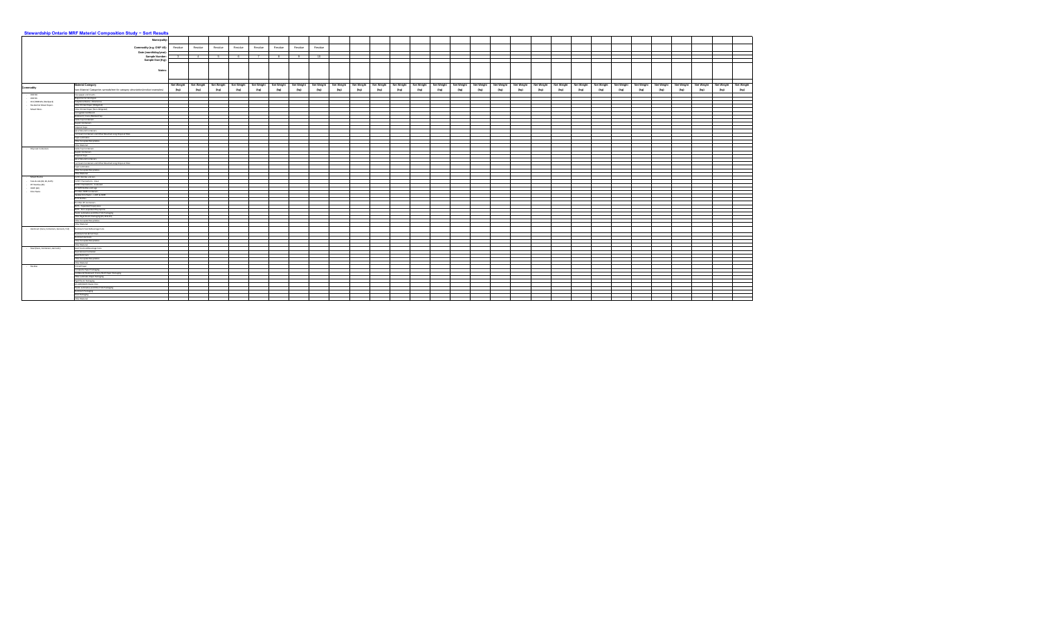| Municipality:<br>Residue<br>Residue<br>Residue<br>Commodity (e.g. ONP #8):  <br>Residue<br>Residue<br>Residue<br>Residue<br>Residue<br>Date (month/day/year):<br><b>Sample Number:</b><br>10<br>$\mathbf{R}$<br>Sample Size (Kg):<br><b>Notes:</b><br>Net Weight   Net Weight   Net Weight   Net Weight   Net Weight   Net Weight   Net Weight<br>Net Weight Net Weight<br>Net Weight Net Weight<br>Net Weight   Net Weight   Net Weight   Net Weight   Net Weight   Net Weight<br>Net Weight Net Weight<br><b>Material Category</b><br><b>Net Weight</b><br><b>Net Weight</b><br>Net Weight Net Weight<br>Net Weight   Net Weight   Net Weight   Net Weight  <br>Net Weight<br><b>Net Weight</b><br>(kg)<br>(kg)<br>(kg)<br>(kg)<br>(kg)<br>(kg)<br>(kg)<br>(kg)<br>(kg)<br>(kg)<br>(kg)<br>(kg)<br>(kg)<br>(ka)<br>(kg)<br>(k <sub>0</sub> )<br>(kg)<br>(kg)<br>(kg)<br>(kg)<br>(kg)<br>(ka)<br>(kg)<br>(see Material Categories spreadsheet for category description/product examples)<br>(kg)<br>(kg)<br>(kg)<br>(kg)<br>(kg)<br>(kg)<br><b>ONP#8</b><br>Newspaper and Inserts<br><b>ONP#6</b><br>Magazines & Catalogues<br>OCC/OBB Mix (Hardpack)<br>Telephone Books / Directories<br><b>Residential Mixed Papers</b><br>Other Printed Paper (Obligated)<br><b>Mixed Fibres</b><br>Other Printed Paper (Non-Obligated<br>Corrugated Cardboard<br>Boxboard / Cores/Molded Pul<br><b>Gable Top Containers</b><br><b>Aseptic Containers</b><br>Polycoat Cups<br><b>Spiral Wound Containers</b><br>Ice Cream Containers and Other Bleached Long Polycoat Fibre<br><b>Paper Laminates</b><br><b>Other Accepted Recyclables</b><br><b>Other Material</b><br><b>Gable Top Containers</b><br>- Polycoat Containers<br>Aseptic Containers<br>Polycoat Cups<br><b>Spiral Wound Containers</b><br>Ice Cream Containers and Other Bleached Long Polycoat Fibre<br>Paper Laminates<br><b>Other Accepted Recyclables</b><br><b>Other Material</b><br>#1 PET Bottles and Jars<br><b>Mixed Plastics</b><br>Tubs & Lids (#2, #4, & #5)<br>#1 PET Thermoform - Clear<br>PET Bottles (#1)<br>#1 PET Thermoform - Coloured<br>HDPE (#2)<br>#2 HDPE Bottles and Jugs<br><b>Film Plastic</b><br>#2 Other HDPE Containers<br>Flexible Film Plastic - LDPE & HDPE<br>#5 PP Bottles<br>#5 Other PP Containers<br>#6 PS - Expanded Polystyrene<br>#6 PS - Non-expanded Polystyrene<br>Plastic Laminates and Other Film Packaging<br>Other Rigid Plastic Packaging (#3, #4 & #7)<br>Other Accepted Recyclables<br><b>Other Material</b><br>Aluminum (Cans, Containers, Aerosols, Foil)<br>Aluminum Food & Beverage Cans<br>Aluminum Foil & Foil Trays<br>Aluminum Aerosols<br><b>Other Accepted Recyclables</b><br><b>Other Material</b><br>Steel Food and Beverage Cans<br>Steel (Cans, Containers, Aerosols)<br><b>Steel Aerosol Container</b><br><b>Steel Paint Cans</b><br>Other Accepted Recyclables<br>Other Material<br>Printed Paper<br>- Residue<br><b>Composite Paper Packaging</b><br>Cardboard/ Boxboard / Cores/Kraft Paper Packaging<br>Other Laminate Paper Packaging<br>Rigid Plastic Packaging<br>#2 LDPE/HDPE Plastic Film<br>Plastic Laminates and Other Film Packaging<br>Aluminum Packaging<br><b>Steel Packaging</b><br><b>Other Material</b> |                  | Stewardship Ontario MRF Material Composition Study - Sort Results |  |  |  |  |  |  |  |  |  |  |  |  |  |  |  |  |  |  |  |  |
|-----------------------------------------------------------------------------------------------------------------------------------------------------------------------------------------------------------------------------------------------------------------------------------------------------------------------------------------------------------------------------------------------------------------------------------------------------------------------------------------------------------------------------------------------------------------------------------------------------------------------------------------------------------------------------------------------------------------------------------------------------------------------------------------------------------------------------------------------------------------------------------------------------------------------------------------------------------------------------------------------------------------------------------------------------------------------------------------------------------------------------------------------------------------------------------------------------------------------------------------------------------------------------------------------------------------------------------------------------------------------------------------------------------------------------------------------------------------------------------------------------------------------------------------------------------------------------------------------------------------------------------------------------------------------------------------------------------------------------------------------------------------------------------------------------------------------------------------------------------------------------------------------------------------------------------------------------------------------------------------------------------------------------------------------------------------------------------------------------------------------------------------------------------------------------------------------------------------------------------------------------------------------------------------------------------------------------------------------------------------------------------------------------------------------------------------------------------------------------------------------------------------------------------------------------------------------------------------------------------------------------------------------------------------------------------------------------------------------------------------------------------------------------------------------------------------------------------------------------------------------------------------------------------------------------------------------------------------------------------------------------------------------------------------------------------------------------------------------------------------------------------------------------------------------------------------------------------------------------------------------|------------------|-------------------------------------------------------------------|--|--|--|--|--|--|--|--|--|--|--|--|--|--|--|--|--|--|--|--|
|                                                                                                                                                                                                                                                                                                                                                                                                                                                                                                                                                                                                                                                                                                                                                                                                                                                                                                                                                                                                                                                                                                                                                                                                                                                                                                                                                                                                                                                                                                                                                                                                                                                                                                                                                                                                                                                                                                                                                                                                                                                                                                                                                                                                                                                                                                                                                                                                                                                                                                                                                                                                                                                                                                                                                                                                                                                                                                                                                                                                                                                                                                                                                                                                                                               |                  |                                                                   |  |  |  |  |  |  |  |  |  |  |  |  |  |  |  |  |  |  |  |  |
|                                                                                                                                                                                                                                                                                                                                                                                                                                                                                                                                                                                                                                                                                                                                                                                                                                                                                                                                                                                                                                                                                                                                                                                                                                                                                                                                                                                                                                                                                                                                                                                                                                                                                                                                                                                                                                                                                                                                                                                                                                                                                                                                                                                                                                                                                                                                                                                                                                                                                                                                                                                                                                                                                                                                                                                                                                                                                                                                                                                                                                                                                                                                                                                                                                               |                  |                                                                   |  |  |  |  |  |  |  |  |  |  |  |  |  |  |  |  |  |  |  |  |
|                                                                                                                                                                                                                                                                                                                                                                                                                                                                                                                                                                                                                                                                                                                                                                                                                                                                                                                                                                                                                                                                                                                                                                                                                                                                                                                                                                                                                                                                                                                                                                                                                                                                                                                                                                                                                                                                                                                                                                                                                                                                                                                                                                                                                                                                                                                                                                                                                                                                                                                                                                                                                                                                                                                                                                                                                                                                                                                                                                                                                                                                                                                                                                                                                                               |                  |                                                                   |  |  |  |  |  |  |  |  |  |  |  |  |  |  |  |  |  |  |  |  |
|                                                                                                                                                                                                                                                                                                                                                                                                                                                                                                                                                                                                                                                                                                                                                                                                                                                                                                                                                                                                                                                                                                                                                                                                                                                                                                                                                                                                                                                                                                                                                                                                                                                                                                                                                                                                                                                                                                                                                                                                                                                                                                                                                                                                                                                                                                                                                                                                                                                                                                                                                                                                                                                                                                                                                                                                                                                                                                                                                                                                                                                                                                                                                                                                                                               |                  |                                                                   |  |  |  |  |  |  |  |  |  |  |  |  |  |  |  |  |  |  |  |  |
|                                                                                                                                                                                                                                                                                                                                                                                                                                                                                                                                                                                                                                                                                                                                                                                                                                                                                                                                                                                                                                                                                                                                                                                                                                                                                                                                                                                                                                                                                                                                                                                                                                                                                                                                                                                                                                                                                                                                                                                                                                                                                                                                                                                                                                                                                                                                                                                                                                                                                                                                                                                                                                                                                                                                                                                                                                                                                                                                                                                                                                                                                                                                                                                                                                               |                  |                                                                   |  |  |  |  |  |  |  |  |  |  |  |  |  |  |  |  |  |  |  |  |
|                                                                                                                                                                                                                                                                                                                                                                                                                                                                                                                                                                                                                                                                                                                                                                                                                                                                                                                                                                                                                                                                                                                                                                                                                                                                                                                                                                                                                                                                                                                                                                                                                                                                                                                                                                                                                                                                                                                                                                                                                                                                                                                                                                                                                                                                                                                                                                                                                                                                                                                                                                                                                                                                                                                                                                                                                                                                                                                                                                                                                                                                                                                                                                                                                                               |                  |                                                                   |  |  |  |  |  |  |  |  |  |  |  |  |  |  |  |  |  |  |  |  |
|                                                                                                                                                                                                                                                                                                                                                                                                                                                                                                                                                                                                                                                                                                                                                                                                                                                                                                                                                                                                                                                                                                                                                                                                                                                                                                                                                                                                                                                                                                                                                                                                                                                                                                                                                                                                                                                                                                                                                                                                                                                                                                                                                                                                                                                                                                                                                                                                                                                                                                                                                                                                                                                                                                                                                                                                                                                                                                                                                                                                                                                                                                                                                                                                                                               |                  |                                                                   |  |  |  |  |  |  |  |  |  |  |  |  |  |  |  |  |  |  |  |  |
|                                                                                                                                                                                                                                                                                                                                                                                                                                                                                                                                                                                                                                                                                                                                                                                                                                                                                                                                                                                                                                                                                                                                                                                                                                                                                                                                                                                                                                                                                                                                                                                                                                                                                                                                                                                                                                                                                                                                                                                                                                                                                                                                                                                                                                                                                                                                                                                                                                                                                                                                                                                                                                                                                                                                                                                                                                                                                                                                                                                                                                                                                                                                                                                                                                               |                  |                                                                   |  |  |  |  |  |  |  |  |  |  |  |  |  |  |  |  |  |  |  |  |
|                                                                                                                                                                                                                                                                                                                                                                                                                                                                                                                                                                                                                                                                                                                                                                                                                                                                                                                                                                                                                                                                                                                                                                                                                                                                                                                                                                                                                                                                                                                                                                                                                                                                                                                                                                                                                                                                                                                                                                                                                                                                                                                                                                                                                                                                                                                                                                                                                                                                                                                                                                                                                                                                                                                                                                                                                                                                                                                                                                                                                                                                                                                                                                                                                                               | <b>Commodity</b> |                                                                   |  |  |  |  |  |  |  |  |  |  |  |  |  |  |  |  |  |  |  |  |
|                                                                                                                                                                                                                                                                                                                                                                                                                                                                                                                                                                                                                                                                                                                                                                                                                                                                                                                                                                                                                                                                                                                                                                                                                                                                                                                                                                                                                                                                                                                                                                                                                                                                                                                                                                                                                                                                                                                                                                                                                                                                                                                                                                                                                                                                                                                                                                                                                                                                                                                                                                                                                                                                                                                                                                                                                                                                                                                                                                                                                                                                                                                                                                                                                                               |                  |                                                                   |  |  |  |  |  |  |  |  |  |  |  |  |  |  |  |  |  |  |  |  |
|                                                                                                                                                                                                                                                                                                                                                                                                                                                                                                                                                                                                                                                                                                                                                                                                                                                                                                                                                                                                                                                                                                                                                                                                                                                                                                                                                                                                                                                                                                                                                                                                                                                                                                                                                                                                                                                                                                                                                                                                                                                                                                                                                                                                                                                                                                                                                                                                                                                                                                                                                                                                                                                                                                                                                                                                                                                                                                                                                                                                                                                                                                                                                                                                                                               |                  |                                                                   |  |  |  |  |  |  |  |  |  |  |  |  |  |  |  |  |  |  |  |  |
|                                                                                                                                                                                                                                                                                                                                                                                                                                                                                                                                                                                                                                                                                                                                                                                                                                                                                                                                                                                                                                                                                                                                                                                                                                                                                                                                                                                                                                                                                                                                                                                                                                                                                                                                                                                                                                                                                                                                                                                                                                                                                                                                                                                                                                                                                                                                                                                                                                                                                                                                                                                                                                                                                                                                                                                                                                                                                                                                                                                                                                                                                                                                                                                                                                               |                  |                                                                   |  |  |  |  |  |  |  |  |  |  |  |  |  |  |  |  |  |  |  |  |
|                                                                                                                                                                                                                                                                                                                                                                                                                                                                                                                                                                                                                                                                                                                                                                                                                                                                                                                                                                                                                                                                                                                                                                                                                                                                                                                                                                                                                                                                                                                                                                                                                                                                                                                                                                                                                                                                                                                                                                                                                                                                                                                                                                                                                                                                                                                                                                                                                                                                                                                                                                                                                                                                                                                                                                                                                                                                                                                                                                                                                                                                                                                                                                                                                                               |                  |                                                                   |  |  |  |  |  |  |  |  |  |  |  |  |  |  |  |  |  |  |  |  |
|                                                                                                                                                                                                                                                                                                                                                                                                                                                                                                                                                                                                                                                                                                                                                                                                                                                                                                                                                                                                                                                                                                                                                                                                                                                                                                                                                                                                                                                                                                                                                                                                                                                                                                                                                                                                                                                                                                                                                                                                                                                                                                                                                                                                                                                                                                                                                                                                                                                                                                                                                                                                                                                                                                                                                                                                                                                                                                                                                                                                                                                                                                                                                                                                                                               |                  |                                                                   |  |  |  |  |  |  |  |  |  |  |  |  |  |  |  |  |  |  |  |  |
|                                                                                                                                                                                                                                                                                                                                                                                                                                                                                                                                                                                                                                                                                                                                                                                                                                                                                                                                                                                                                                                                                                                                                                                                                                                                                                                                                                                                                                                                                                                                                                                                                                                                                                                                                                                                                                                                                                                                                                                                                                                                                                                                                                                                                                                                                                                                                                                                                                                                                                                                                                                                                                                                                                                                                                                                                                                                                                                                                                                                                                                                                                                                                                                                                                               |                  |                                                                   |  |  |  |  |  |  |  |  |  |  |  |  |  |  |  |  |  |  |  |  |
|                                                                                                                                                                                                                                                                                                                                                                                                                                                                                                                                                                                                                                                                                                                                                                                                                                                                                                                                                                                                                                                                                                                                                                                                                                                                                                                                                                                                                                                                                                                                                                                                                                                                                                                                                                                                                                                                                                                                                                                                                                                                                                                                                                                                                                                                                                                                                                                                                                                                                                                                                                                                                                                                                                                                                                                                                                                                                                                                                                                                                                                                                                                                                                                                                                               |                  |                                                                   |  |  |  |  |  |  |  |  |  |  |  |  |  |  |  |  |  |  |  |  |
|                                                                                                                                                                                                                                                                                                                                                                                                                                                                                                                                                                                                                                                                                                                                                                                                                                                                                                                                                                                                                                                                                                                                                                                                                                                                                                                                                                                                                                                                                                                                                                                                                                                                                                                                                                                                                                                                                                                                                                                                                                                                                                                                                                                                                                                                                                                                                                                                                                                                                                                                                                                                                                                                                                                                                                                                                                                                                                                                                                                                                                                                                                                                                                                                                                               |                  |                                                                   |  |  |  |  |  |  |  |  |  |  |  |  |  |  |  |  |  |  |  |  |
|                                                                                                                                                                                                                                                                                                                                                                                                                                                                                                                                                                                                                                                                                                                                                                                                                                                                                                                                                                                                                                                                                                                                                                                                                                                                                                                                                                                                                                                                                                                                                                                                                                                                                                                                                                                                                                                                                                                                                                                                                                                                                                                                                                                                                                                                                                                                                                                                                                                                                                                                                                                                                                                                                                                                                                                                                                                                                                                                                                                                                                                                                                                                                                                                                                               |                  |                                                                   |  |  |  |  |  |  |  |  |  |  |  |  |  |  |  |  |  |  |  |  |
|                                                                                                                                                                                                                                                                                                                                                                                                                                                                                                                                                                                                                                                                                                                                                                                                                                                                                                                                                                                                                                                                                                                                                                                                                                                                                                                                                                                                                                                                                                                                                                                                                                                                                                                                                                                                                                                                                                                                                                                                                                                                                                                                                                                                                                                                                                                                                                                                                                                                                                                                                                                                                                                                                                                                                                                                                                                                                                                                                                                                                                                                                                                                                                                                                                               |                  |                                                                   |  |  |  |  |  |  |  |  |  |  |  |  |  |  |  |  |  |  |  |  |
|                                                                                                                                                                                                                                                                                                                                                                                                                                                                                                                                                                                                                                                                                                                                                                                                                                                                                                                                                                                                                                                                                                                                                                                                                                                                                                                                                                                                                                                                                                                                                                                                                                                                                                                                                                                                                                                                                                                                                                                                                                                                                                                                                                                                                                                                                                                                                                                                                                                                                                                                                                                                                                                                                                                                                                                                                                                                                                                                                                                                                                                                                                                                                                                                                                               |                  |                                                                   |  |  |  |  |  |  |  |  |  |  |  |  |  |  |  |  |  |  |  |  |
|                                                                                                                                                                                                                                                                                                                                                                                                                                                                                                                                                                                                                                                                                                                                                                                                                                                                                                                                                                                                                                                                                                                                                                                                                                                                                                                                                                                                                                                                                                                                                                                                                                                                                                                                                                                                                                                                                                                                                                                                                                                                                                                                                                                                                                                                                                                                                                                                                                                                                                                                                                                                                                                                                                                                                                                                                                                                                                                                                                                                                                                                                                                                                                                                                                               |                  |                                                                   |  |  |  |  |  |  |  |  |  |  |  |  |  |  |  |  |  |  |  |  |
|                                                                                                                                                                                                                                                                                                                                                                                                                                                                                                                                                                                                                                                                                                                                                                                                                                                                                                                                                                                                                                                                                                                                                                                                                                                                                                                                                                                                                                                                                                                                                                                                                                                                                                                                                                                                                                                                                                                                                                                                                                                                                                                                                                                                                                                                                                                                                                                                                                                                                                                                                                                                                                                                                                                                                                                                                                                                                                                                                                                                                                                                                                                                                                                                                                               |                  |                                                                   |  |  |  |  |  |  |  |  |  |  |  |  |  |  |  |  |  |  |  |  |
|                                                                                                                                                                                                                                                                                                                                                                                                                                                                                                                                                                                                                                                                                                                                                                                                                                                                                                                                                                                                                                                                                                                                                                                                                                                                                                                                                                                                                                                                                                                                                                                                                                                                                                                                                                                                                                                                                                                                                                                                                                                                                                                                                                                                                                                                                                                                                                                                                                                                                                                                                                                                                                                                                                                                                                                                                                                                                                                                                                                                                                                                                                                                                                                                                                               |                  |                                                                   |  |  |  |  |  |  |  |  |  |  |  |  |  |  |  |  |  |  |  |  |
|                                                                                                                                                                                                                                                                                                                                                                                                                                                                                                                                                                                                                                                                                                                                                                                                                                                                                                                                                                                                                                                                                                                                                                                                                                                                                                                                                                                                                                                                                                                                                                                                                                                                                                                                                                                                                                                                                                                                                                                                                                                                                                                                                                                                                                                                                                                                                                                                                                                                                                                                                                                                                                                                                                                                                                                                                                                                                                                                                                                                                                                                                                                                                                                                                                               |                  |                                                                   |  |  |  |  |  |  |  |  |  |  |  |  |  |  |  |  |  |  |  |  |
|                                                                                                                                                                                                                                                                                                                                                                                                                                                                                                                                                                                                                                                                                                                                                                                                                                                                                                                                                                                                                                                                                                                                                                                                                                                                                                                                                                                                                                                                                                                                                                                                                                                                                                                                                                                                                                                                                                                                                                                                                                                                                                                                                                                                                                                                                                                                                                                                                                                                                                                                                                                                                                                                                                                                                                                                                                                                                                                                                                                                                                                                                                                                                                                                                                               |                  |                                                                   |  |  |  |  |  |  |  |  |  |  |  |  |  |  |  |  |  |  |  |  |
|                                                                                                                                                                                                                                                                                                                                                                                                                                                                                                                                                                                                                                                                                                                                                                                                                                                                                                                                                                                                                                                                                                                                                                                                                                                                                                                                                                                                                                                                                                                                                                                                                                                                                                                                                                                                                                                                                                                                                                                                                                                                                                                                                                                                                                                                                                                                                                                                                                                                                                                                                                                                                                                                                                                                                                                                                                                                                                                                                                                                                                                                                                                                                                                                                                               |                  |                                                                   |  |  |  |  |  |  |  |  |  |  |  |  |  |  |  |  |  |  |  |  |
|                                                                                                                                                                                                                                                                                                                                                                                                                                                                                                                                                                                                                                                                                                                                                                                                                                                                                                                                                                                                                                                                                                                                                                                                                                                                                                                                                                                                                                                                                                                                                                                                                                                                                                                                                                                                                                                                                                                                                                                                                                                                                                                                                                                                                                                                                                                                                                                                                                                                                                                                                                                                                                                                                                                                                                                                                                                                                                                                                                                                                                                                                                                                                                                                                                               |                  |                                                                   |  |  |  |  |  |  |  |  |  |  |  |  |  |  |  |  |  |  |  |  |
|                                                                                                                                                                                                                                                                                                                                                                                                                                                                                                                                                                                                                                                                                                                                                                                                                                                                                                                                                                                                                                                                                                                                                                                                                                                                                                                                                                                                                                                                                                                                                                                                                                                                                                                                                                                                                                                                                                                                                                                                                                                                                                                                                                                                                                                                                                                                                                                                                                                                                                                                                                                                                                                                                                                                                                                                                                                                                                                                                                                                                                                                                                                                                                                                                                               |                  |                                                                   |  |  |  |  |  |  |  |  |  |  |  |  |  |  |  |  |  |  |  |  |
|                                                                                                                                                                                                                                                                                                                                                                                                                                                                                                                                                                                                                                                                                                                                                                                                                                                                                                                                                                                                                                                                                                                                                                                                                                                                                                                                                                                                                                                                                                                                                                                                                                                                                                                                                                                                                                                                                                                                                                                                                                                                                                                                                                                                                                                                                                                                                                                                                                                                                                                                                                                                                                                                                                                                                                                                                                                                                                                                                                                                                                                                                                                                                                                                                                               |                  |                                                                   |  |  |  |  |  |  |  |  |  |  |  |  |  |  |  |  |  |  |  |  |
|                                                                                                                                                                                                                                                                                                                                                                                                                                                                                                                                                                                                                                                                                                                                                                                                                                                                                                                                                                                                                                                                                                                                                                                                                                                                                                                                                                                                                                                                                                                                                                                                                                                                                                                                                                                                                                                                                                                                                                                                                                                                                                                                                                                                                                                                                                                                                                                                                                                                                                                                                                                                                                                                                                                                                                                                                                                                                                                                                                                                                                                                                                                                                                                                                                               |                  |                                                                   |  |  |  |  |  |  |  |  |  |  |  |  |  |  |  |  |  |  |  |  |
|                                                                                                                                                                                                                                                                                                                                                                                                                                                                                                                                                                                                                                                                                                                                                                                                                                                                                                                                                                                                                                                                                                                                                                                                                                                                                                                                                                                                                                                                                                                                                                                                                                                                                                                                                                                                                                                                                                                                                                                                                                                                                                                                                                                                                                                                                                                                                                                                                                                                                                                                                                                                                                                                                                                                                                                                                                                                                                                                                                                                                                                                                                                                                                                                                                               |                  |                                                                   |  |  |  |  |  |  |  |  |  |  |  |  |  |  |  |  |  |  |  |  |
|                                                                                                                                                                                                                                                                                                                                                                                                                                                                                                                                                                                                                                                                                                                                                                                                                                                                                                                                                                                                                                                                                                                                                                                                                                                                                                                                                                                                                                                                                                                                                                                                                                                                                                                                                                                                                                                                                                                                                                                                                                                                                                                                                                                                                                                                                                                                                                                                                                                                                                                                                                                                                                                                                                                                                                                                                                                                                                                                                                                                                                                                                                                                                                                                                                               |                  |                                                                   |  |  |  |  |  |  |  |  |  |  |  |  |  |  |  |  |  |  |  |  |
|                                                                                                                                                                                                                                                                                                                                                                                                                                                                                                                                                                                                                                                                                                                                                                                                                                                                                                                                                                                                                                                                                                                                                                                                                                                                                                                                                                                                                                                                                                                                                                                                                                                                                                                                                                                                                                                                                                                                                                                                                                                                                                                                                                                                                                                                                                                                                                                                                                                                                                                                                                                                                                                                                                                                                                                                                                                                                                                                                                                                                                                                                                                                                                                                                                               |                  |                                                                   |  |  |  |  |  |  |  |  |  |  |  |  |  |  |  |  |  |  |  |  |
|                                                                                                                                                                                                                                                                                                                                                                                                                                                                                                                                                                                                                                                                                                                                                                                                                                                                                                                                                                                                                                                                                                                                                                                                                                                                                                                                                                                                                                                                                                                                                                                                                                                                                                                                                                                                                                                                                                                                                                                                                                                                                                                                                                                                                                                                                                                                                                                                                                                                                                                                                                                                                                                                                                                                                                                                                                                                                                                                                                                                                                                                                                                                                                                                                                               |                  |                                                                   |  |  |  |  |  |  |  |  |  |  |  |  |  |  |  |  |  |  |  |  |
|                                                                                                                                                                                                                                                                                                                                                                                                                                                                                                                                                                                                                                                                                                                                                                                                                                                                                                                                                                                                                                                                                                                                                                                                                                                                                                                                                                                                                                                                                                                                                                                                                                                                                                                                                                                                                                                                                                                                                                                                                                                                                                                                                                                                                                                                                                                                                                                                                                                                                                                                                                                                                                                                                                                                                                                                                                                                                                                                                                                                                                                                                                                                                                                                                                               |                  |                                                                   |  |  |  |  |  |  |  |  |  |  |  |  |  |  |  |  |  |  |  |  |
|                                                                                                                                                                                                                                                                                                                                                                                                                                                                                                                                                                                                                                                                                                                                                                                                                                                                                                                                                                                                                                                                                                                                                                                                                                                                                                                                                                                                                                                                                                                                                                                                                                                                                                                                                                                                                                                                                                                                                                                                                                                                                                                                                                                                                                                                                                                                                                                                                                                                                                                                                                                                                                                                                                                                                                                                                                                                                                                                                                                                                                                                                                                                                                                                                                               |                  |                                                                   |  |  |  |  |  |  |  |  |  |  |  |  |  |  |  |  |  |  |  |  |
|                                                                                                                                                                                                                                                                                                                                                                                                                                                                                                                                                                                                                                                                                                                                                                                                                                                                                                                                                                                                                                                                                                                                                                                                                                                                                                                                                                                                                                                                                                                                                                                                                                                                                                                                                                                                                                                                                                                                                                                                                                                                                                                                                                                                                                                                                                                                                                                                                                                                                                                                                                                                                                                                                                                                                                                                                                                                                                                                                                                                                                                                                                                                                                                                                                               |                  |                                                                   |  |  |  |  |  |  |  |  |  |  |  |  |  |  |  |  |  |  |  |  |
|                                                                                                                                                                                                                                                                                                                                                                                                                                                                                                                                                                                                                                                                                                                                                                                                                                                                                                                                                                                                                                                                                                                                                                                                                                                                                                                                                                                                                                                                                                                                                                                                                                                                                                                                                                                                                                                                                                                                                                                                                                                                                                                                                                                                                                                                                                                                                                                                                                                                                                                                                                                                                                                                                                                                                                                                                                                                                                                                                                                                                                                                                                                                                                                                                                               |                  |                                                                   |  |  |  |  |  |  |  |  |  |  |  |  |  |  |  |  |  |  |  |  |
|                                                                                                                                                                                                                                                                                                                                                                                                                                                                                                                                                                                                                                                                                                                                                                                                                                                                                                                                                                                                                                                                                                                                                                                                                                                                                                                                                                                                                                                                                                                                                                                                                                                                                                                                                                                                                                                                                                                                                                                                                                                                                                                                                                                                                                                                                                                                                                                                                                                                                                                                                                                                                                                                                                                                                                                                                                                                                                                                                                                                                                                                                                                                                                                                                                               |                  |                                                                   |  |  |  |  |  |  |  |  |  |  |  |  |  |  |  |  |  |  |  |  |
|                                                                                                                                                                                                                                                                                                                                                                                                                                                                                                                                                                                                                                                                                                                                                                                                                                                                                                                                                                                                                                                                                                                                                                                                                                                                                                                                                                                                                                                                                                                                                                                                                                                                                                                                                                                                                                                                                                                                                                                                                                                                                                                                                                                                                                                                                                                                                                                                                                                                                                                                                                                                                                                                                                                                                                                                                                                                                                                                                                                                                                                                                                                                                                                                                                               |                  |                                                                   |  |  |  |  |  |  |  |  |  |  |  |  |  |  |  |  |  |  |  |  |
|                                                                                                                                                                                                                                                                                                                                                                                                                                                                                                                                                                                                                                                                                                                                                                                                                                                                                                                                                                                                                                                                                                                                                                                                                                                                                                                                                                                                                                                                                                                                                                                                                                                                                                                                                                                                                                                                                                                                                                                                                                                                                                                                                                                                                                                                                                                                                                                                                                                                                                                                                                                                                                                                                                                                                                                                                                                                                                                                                                                                                                                                                                                                                                                                                                               |                  |                                                                   |  |  |  |  |  |  |  |  |  |  |  |  |  |  |  |  |  |  |  |  |
|                                                                                                                                                                                                                                                                                                                                                                                                                                                                                                                                                                                                                                                                                                                                                                                                                                                                                                                                                                                                                                                                                                                                                                                                                                                                                                                                                                                                                                                                                                                                                                                                                                                                                                                                                                                                                                                                                                                                                                                                                                                                                                                                                                                                                                                                                                                                                                                                                                                                                                                                                                                                                                                                                                                                                                                                                                                                                                                                                                                                                                                                                                                                                                                                                                               |                  |                                                                   |  |  |  |  |  |  |  |  |  |  |  |  |  |  |  |  |  |  |  |  |
|                                                                                                                                                                                                                                                                                                                                                                                                                                                                                                                                                                                                                                                                                                                                                                                                                                                                                                                                                                                                                                                                                                                                                                                                                                                                                                                                                                                                                                                                                                                                                                                                                                                                                                                                                                                                                                                                                                                                                                                                                                                                                                                                                                                                                                                                                                                                                                                                                                                                                                                                                                                                                                                                                                                                                                                                                                                                                                                                                                                                                                                                                                                                                                                                                                               |                  |                                                                   |  |  |  |  |  |  |  |  |  |  |  |  |  |  |  |  |  |  |  |  |
|                                                                                                                                                                                                                                                                                                                                                                                                                                                                                                                                                                                                                                                                                                                                                                                                                                                                                                                                                                                                                                                                                                                                                                                                                                                                                                                                                                                                                                                                                                                                                                                                                                                                                                                                                                                                                                                                                                                                                                                                                                                                                                                                                                                                                                                                                                                                                                                                                                                                                                                                                                                                                                                                                                                                                                                                                                                                                                                                                                                                                                                                                                                                                                                                                                               |                  |                                                                   |  |  |  |  |  |  |  |  |  |  |  |  |  |  |  |  |  |  |  |  |
|                                                                                                                                                                                                                                                                                                                                                                                                                                                                                                                                                                                                                                                                                                                                                                                                                                                                                                                                                                                                                                                                                                                                                                                                                                                                                                                                                                                                                                                                                                                                                                                                                                                                                                                                                                                                                                                                                                                                                                                                                                                                                                                                                                                                                                                                                                                                                                                                                                                                                                                                                                                                                                                                                                                                                                                                                                                                                                                                                                                                                                                                                                                                                                                                                                               |                  |                                                                   |  |  |  |  |  |  |  |  |  |  |  |  |  |  |  |  |  |  |  |  |
|                                                                                                                                                                                                                                                                                                                                                                                                                                                                                                                                                                                                                                                                                                                                                                                                                                                                                                                                                                                                                                                                                                                                                                                                                                                                                                                                                                                                                                                                                                                                                                                                                                                                                                                                                                                                                                                                                                                                                                                                                                                                                                                                                                                                                                                                                                                                                                                                                                                                                                                                                                                                                                                                                                                                                                                                                                                                                                                                                                                                                                                                                                                                                                                                                                               |                  |                                                                   |  |  |  |  |  |  |  |  |  |  |  |  |  |  |  |  |  |  |  |  |
|                                                                                                                                                                                                                                                                                                                                                                                                                                                                                                                                                                                                                                                                                                                                                                                                                                                                                                                                                                                                                                                                                                                                                                                                                                                                                                                                                                                                                                                                                                                                                                                                                                                                                                                                                                                                                                                                                                                                                                                                                                                                                                                                                                                                                                                                                                                                                                                                                                                                                                                                                                                                                                                                                                                                                                                                                                                                                                                                                                                                                                                                                                                                                                                                                                               |                  |                                                                   |  |  |  |  |  |  |  |  |  |  |  |  |  |  |  |  |  |  |  |  |
|                                                                                                                                                                                                                                                                                                                                                                                                                                                                                                                                                                                                                                                                                                                                                                                                                                                                                                                                                                                                                                                                                                                                                                                                                                                                                                                                                                                                                                                                                                                                                                                                                                                                                                                                                                                                                                                                                                                                                                                                                                                                                                                                                                                                                                                                                                                                                                                                                                                                                                                                                                                                                                                                                                                                                                                                                                                                                                                                                                                                                                                                                                                                                                                                                                               |                  |                                                                   |  |  |  |  |  |  |  |  |  |  |  |  |  |  |  |  |  |  |  |  |
|                                                                                                                                                                                                                                                                                                                                                                                                                                                                                                                                                                                                                                                                                                                                                                                                                                                                                                                                                                                                                                                                                                                                                                                                                                                                                                                                                                                                                                                                                                                                                                                                                                                                                                                                                                                                                                                                                                                                                                                                                                                                                                                                                                                                                                                                                                                                                                                                                                                                                                                                                                                                                                                                                                                                                                                                                                                                                                                                                                                                                                                                                                                                                                                                                                               |                  |                                                                   |  |  |  |  |  |  |  |  |  |  |  |  |  |  |  |  |  |  |  |  |
|                                                                                                                                                                                                                                                                                                                                                                                                                                                                                                                                                                                                                                                                                                                                                                                                                                                                                                                                                                                                                                                                                                                                                                                                                                                                                                                                                                                                                                                                                                                                                                                                                                                                                                                                                                                                                                                                                                                                                                                                                                                                                                                                                                                                                                                                                                                                                                                                                                                                                                                                                                                                                                                                                                                                                                                                                                                                                                                                                                                                                                                                                                                                                                                                                                               |                  |                                                                   |  |  |  |  |  |  |  |  |  |  |  |  |  |  |  |  |  |  |  |  |
|                                                                                                                                                                                                                                                                                                                                                                                                                                                                                                                                                                                                                                                                                                                                                                                                                                                                                                                                                                                                                                                                                                                                                                                                                                                                                                                                                                                                                                                                                                                                                                                                                                                                                                                                                                                                                                                                                                                                                                                                                                                                                                                                                                                                                                                                                                                                                                                                                                                                                                                                                                                                                                                                                                                                                                                                                                                                                                                                                                                                                                                                                                                                                                                                                                               |                  |                                                                   |  |  |  |  |  |  |  |  |  |  |  |  |  |  |  |  |  |  |  |  |
|                                                                                                                                                                                                                                                                                                                                                                                                                                                                                                                                                                                                                                                                                                                                                                                                                                                                                                                                                                                                                                                                                                                                                                                                                                                                                                                                                                                                                                                                                                                                                                                                                                                                                                                                                                                                                                                                                                                                                                                                                                                                                                                                                                                                                                                                                                                                                                                                                                                                                                                                                                                                                                                                                                                                                                                                                                                                                                                                                                                                                                                                                                                                                                                                                                               |                  |                                                                   |  |  |  |  |  |  |  |  |  |  |  |  |  |  |  |  |  |  |  |  |
|                                                                                                                                                                                                                                                                                                                                                                                                                                                                                                                                                                                                                                                                                                                                                                                                                                                                                                                                                                                                                                                                                                                                                                                                                                                                                                                                                                                                                                                                                                                                                                                                                                                                                                                                                                                                                                                                                                                                                                                                                                                                                                                                                                                                                                                                                                                                                                                                                                                                                                                                                                                                                                                                                                                                                                                                                                                                                                                                                                                                                                                                                                                                                                                                                                               |                  |                                                                   |  |  |  |  |  |  |  |  |  |  |  |  |  |  |  |  |  |  |  |  |